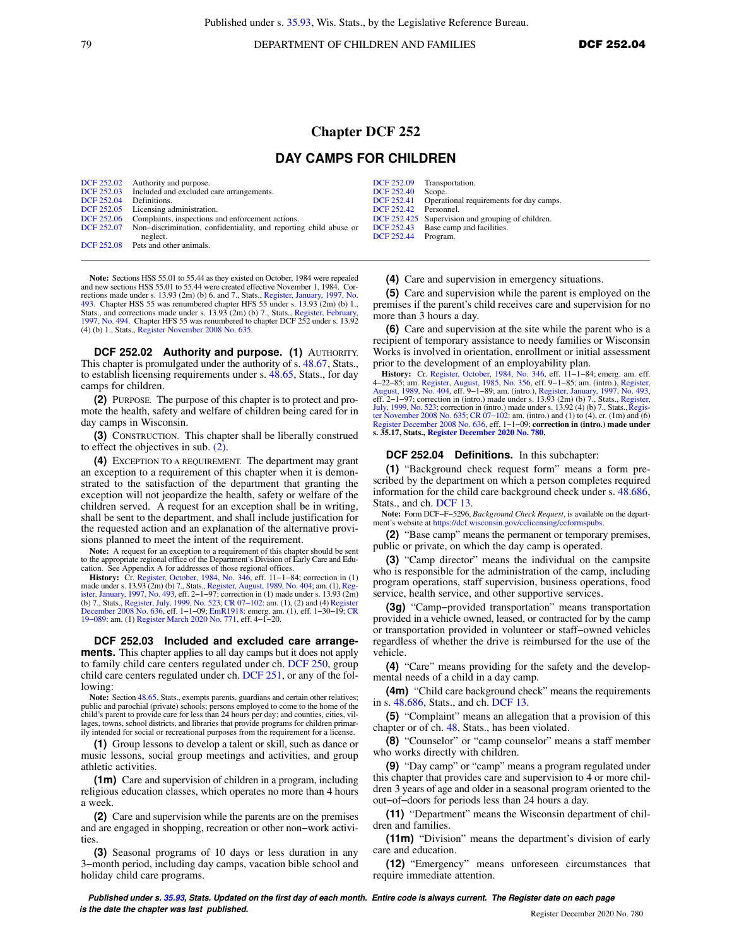79 **DEPARTMENT OF CHILDREN AND FAMILIES DCF 252.04** 

## **Chapter DCF 252**

## **DAY CAMPS FOR CHILDREN**

|                   | DCF 252.02 Authority and purpose.                                            |                          | DCF 252.09 Transportation.                         |
|-------------------|------------------------------------------------------------------------------|--------------------------|----------------------------------------------------|
|                   |                                                                              |                          |                                                    |
|                   | DCF 252.03 Included and excluded care arrangements.                          | <b>DCF 252.40</b> Scope. |                                                    |
| <b>DCF 252.04</b> | Definitions.                                                                 |                          | DCF 252.41 Operational requirements for day camps. |
|                   | DCF 252.05 Licensing administration.                                         | DCF 252.42 Personnel.    |                                                    |
|                   | DCF 252.06 Complaints, inspections and enforcement actions.                  |                          | DCF 252.425 Supervision and grouping of children.  |
|                   | DCF 252.07 Non-discrimination, confidentiality, and reporting child abuse or |                          | DCF 252.43 Base camp and facilities.               |
|                   | neglect.                                                                     | DCF 252.44 Program.      |                                                    |
|                   | DCF 252.08 Pets and other animals.                                           |                          |                                                    |

**Note:** Sections HSS 55.01 to 55.44 as they existed on October, 1984 were repealed and new sections HSS 55.01 to 55.44 were created effective November 1, 1984. Corrections made under s. 13.93 (2m) (b) 6. and 7., Stats., [Register, January, 1997, No.](https://docs-preview.legis.wisconsin.gov/document/register/493/B/toc) [493](https://docs-preview.legis.wisconsin.gov/document/register/493/B/toc). Chapter HSS 55 was renumbered chapter HFS 55 under s. 13.93 (2m) (b) 1., Stats., and corrections made under s. 13.93 (2m) (b) 7., Stats., [Register, February,](https://docs-preview.legis.wisconsin.gov/document/register/494/B/toc) [1997, No. 494](https://docs-preview.legis.wisconsin.gov/document/register/494/B/toc). Chapter HFS 55 was renumbered to chapter DCF 252 under s. 13.92 (4) (b) 1., Stats., [Register November 2008 No. 635](https://docs-preview.legis.wisconsin.gov/document/register/635/B/toc).

**DCF 252.02 Authority and purpose. (1)** AUTHORITY. This chapter is promulgated under the authority of s. [48.67](https://docs-preview.legis.wisconsin.gov/document/statutes/48.67), Stats., to establish licensing requirements under s. [48.65,](https://docs-preview.legis.wisconsin.gov/document/statutes/48.65) Stats., for day camps for children.

**(2)** PURPOSE. The purpose of this chapter is to protect and promote the health, safety and welfare of children being cared for in day camps in Wisconsin.

**(3)** CONSTRUCTION. This chapter shall be liberally construed to effect the objectives in sub. [\(2\).](https://docs-preview.legis.wisconsin.gov/document/administrativecode/DCF%20252.02(2))

**(4)** EXCEPTION TO A REQUIREMENT. The department may grant an exception to a requirement of this chapter when it is demonstrated to the satisfaction of the department that granting the exception will not jeopardize the health, safety or welfare of the children served. A request for an exception shall be in writing, shall be sent to the department, and shall include justification for the requested action and an explanation of the alternative provisions planned to meet the intent of the requirement.

**Note:** A request for an exception to a requirement of this chapter should be sent to the appropriate regional office of the Department's Division of Early Care and Edu-

cation. See Appendix A for addresses of those regional offices. **History:** Cr. [Register, October, 1984, No. 346](https://docs-preview.legis.wisconsin.gov/document/register/346/B/toc), eff. 11−1−84; correction in (1) made under s. 13.93 (2m) (b) 7., Stats., [Register, August, 1989, No. 404](https://docs-preview.legis.wisconsin.gov/document/register/404/B/toc); am. (1), [Reg](https://docs-preview.legis.wisconsin.gov/document/register/493/B/toc)[ister, January, 1997, No. 493](https://docs-preview.legis.wisconsin.gov/document/register/493/B/toc), eff. 2−1−97; correction in (1) made under s. 13.93 (2m) (b) 7., Stats., [Register, July, 1999, No. 523](https://docs-preview.legis.wisconsin.gov/document/register/523/B/toc); [CR 07−102:](https://docs-preview.legis.wisconsin.gov/document/cr/2007/102) am. (1), (2) and (4) [Register](https://docs-preview.legis.wisconsin.gov/document/register/636/B/toc) [December 2008 No. 636](https://docs-preview.legis.wisconsin.gov/document/register/636/B/toc), eff. 1−1−09; [EmR1918:](https://docs-preview.legis.wisconsin.gov/document/emergencyrules/EmR1918) emerg. am. (1), eff. 1−30−19; [CR](https://docs-preview.legis.wisconsin.gov/document/cr/2019/89) [19−089:](https://docs-preview.legis.wisconsin.gov/document/cr/2019/89) am. (1) [Register March 2020 No. 771](https://docs-preview.legis.wisconsin.gov/document/register/771/B/toc), eff. 4−1−20.

**DCF 252.03 Included and excluded care arrangements.** This chapter applies to all day camps but it does not apply to family child care centers regulated under ch. [DCF 250](https://docs-preview.legis.wisconsin.gov/document/administrativecode/ch.%20DCF%20250), group child care centers regulated under ch. [DCF 251,](https://docs-preview.legis.wisconsin.gov/document/administrativecode/ch.%20DCF%20251) or any of the following:

**Note:** Section [48.65](https://docs-preview.legis.wisconsin.gov/document/statutes/48.65), Stats., exempts parents, guardians and certain other relatives; public and parochial (private) schools; persons employed to come to the home of the child's parent to provide care for less than 24 hours per day; and counties, cities, villages, towns, school districts, and libraries that provide programs for children primar-ily intended for social or recreational purposes from the requirement for a license.

**(1)** Group lessons to develop a talent or skill, such as dance or music lessons, social group meetings and activities, and group athletic activities.

**(1m)** Care and supervision of children in a program, including religious education classes, which operates no more than 4 hours a week.

**(2)** Care and supervision while the parents are on the premises and are engaged in shopping, recreation or other non−work activities.

**(3)** Seasonal programs of 10 days or less duration in any 3−month period, including day camps, vacation bible school and holiday child care programs.

|  |  | (4) Care and supervision in emergency situations. |  |  |
|--|--|---------------------------------------------------|--|--|
|  |  |                                                   |  |  |

**(5)** Care and supervision while the parent is employed on the premises if the parent's child receives care and supervision for no more than 3 hours a day.

**(6)** Care and supervision at the site while the parent who is a recipient of temporary assistance to needy families or Wisconsin Works is involved in orientation, enrollment or initial assessment prior to the development of an employability plan.

**History:** Cr. [Register, October, 1984, No. 346](https://docs-preview.legis.wisconsin.gov/document/register/346/B/toc), eff. 11−1−84; emerg. am. eff. 4−22−85; am. [Register, August, 1985, No. 356,](https://docs-preview.legis.wisconsin.gov/document/register/356/B/toc) eff. 9−1−85; am. (intro.), [Register,](https://docs-preview.legis.wisconsin.gov/document/register/404/B/toc) [August, 1989, No. 404](https://docs-preview.legis.wisconsin.gov/document/register/404/B/toc), eff. 9−1−89; am. (intro.), [Register, January, 1997, No. 493](https://docs-preview.legis.wisconsin.gov/document/register/493/B/toc), eff. 2–1–97; correction in (intro.) made under s. 13.93 (2m) (b) 7., Stats., [Register,](https://docs-preview.legis.wisconsin.gov/document/register/523/B/toc)<br>[July, 1999, No. 523](https://docs-preview.legis.wisconsin.gov/document/register/523/B/toc); correction in (intro.) made under s. 13.92 (4) (b) 7., Stats., Regis-<br>[ter November 2008 No. 635;](https://docs-preview.legis.wisconsin.gov/document/register/635/B/toc) CR 07–102: am. (i [Register December 2008 No. 636](https://docs-preview.legis.wisconsin.gov/document/register/636/B/toc), eff. 1−1−09; **correction in (intro.) made under s. 35.17, Stats., [Register December 2020 No. 780.](https://docs-preview.legis.wisconsin.gov/document/register/780/B/toc)**

## **DCF 252.04 Definitions.** In this subchapter:

**(1)** "Background check request form" means a form prescribed by the department on which a person completes required information for the child care background check under s. [48.686,](https://docs-preview.legis.wisconsin.gov/document/statutes/48.686) Stats., and ch. [DCF 13.](https://docs-preview.legis.wisconsin.gov/document/administrativecode/ch.%20DCF%2013)

**Note:** Form DCF−F−5296, *Background Check Request*, is available on the department's website at<https://dcf.wisconsin.gov/cclicensing/ccformspubs>.

**(2)** "Base camp" means the permanent or temporary premises, public or private, on which the day camp is operated.

**(3)** "Camp director" means the individual on the campsite who is responsible for the administration of the camp, including program operations, staff supervision, business operations, food service, health service, and other supportive services.

**(3g)** "Camp−provided transportation" means transportation provided in a vehicle owned, leased, or contracted for by the camp or transportation provided in volunteer or staff−owned vehicles regardless of whether the drive is reimbursed for the use of the vehicle.

**(4)** "Care" means providing for the safety and the developmental needs of a child in a day camp.

**(4m)** "Child care background check" means the requirements in s. [48.686](https://docs-preview.legis.wisconsin.gov/document/statutes/48.686), Stats., and ch. [DCF 13.](https://docs-preview.legis.wisconsin.gov/document/administrativecode/ch.%20DCF%2013)

**(5)** "Complaint" means an allegation that a provision of this chapter or of ch. [48,](https://docs-preview.legis.wisconsin.gov/document/statutes/ch.%2048) Stats., has been violated.

**(8)** "Counselor" or "camp counselor" means a staff member who works directly with children.

**(9)** "Day camp" or "camp" means a program regulated under this chapter that provides care and supervision to 4 or more children 3 years of age and older in a seasonal program oriented to the out−of−doors for periods less than 24 hours a day.

**(11)** "Department" means the Wisconsin department of children and families.

**(11m)** "Division" means the department's division of early care and education.

**(12)** "Emergency" means unforeseen circumstances that require immediate attention.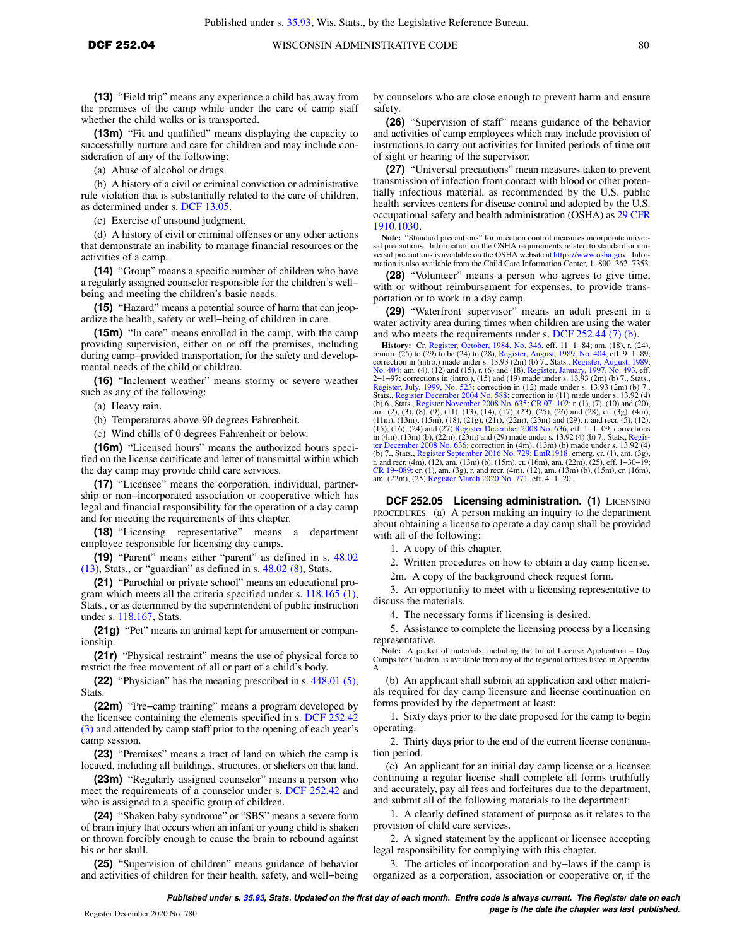**(13)** "Field trip" means any experience a child has away from the premises of the camp while under the care of camp staff whether the child walks or is transported.

**(13m)** "Fit and qualified" means displaying the capacity to successfully nurture and care for children and may include consideration of any of the following:

(a) Abuse of alcohol or drugs.

(b) A history of a civil or criminal conviction or administrative rule violation that is substantially related to the care of children, as determined under s. [DCF 13.05.](https://docs-preview.legis.wisconsin.gov/document/administrativecode/DCF%2013.05)

(c) Exercise of unsound judgment.

(d) A history of civil or criminal offenses or any other actions that demonstrate an inability to manage financial resources or the activities of a camp.

**(14)** "Group" means a specific number of children who have a regularly assigned counselor responsible for the children's well− being and meeting the children's basic needs.

**(15)** "Hazard" means a potential source of harm that can jeopardize the health, safety or well−being of children in care.

**(15m)** "In care" means enrolled in the camp, with the camp providing supervision, either on or off the premises, including during camp−provided transportation, for the safety and developmental needs of the child or children.

**(16)** "Inclement weather" means stormy or severe weather such as any of the following:

(a) Heavy rain.

(b) Temperatures above 90 degrees Fahrenheit.

(c) Wind chills of 0 degrees Fahrenheit or below.

**(16m)** "Licensed hours" means the authorized hours specified on the license certificate and letter of transmittal within which the day camp may provide child care services.

**(17)** "Licensee" means the corporation, individual, partnership or non−incorporated association or cooperative which has legal and financial responsibility for the operation of a day camp and for meeting the requirements of this chapter.

**(18)** "Licensing representative" means a department employee responsible for licensing day camps.

**(19)** "Parent" means either "parent" as defined in s. [48.02](https://docs-preview.legis.wisconsin.gov/document/statutes/48.02(13))  $(13)$ , Stats., or "guardian" as defined in s.  $48.02$   $(8)$ , Stats.

**(21)** "Parochial or private school" means an educational program which meets all the criteria specified under s. [118.165 \(1\),](https://docs-preview.legis.wisconsin.gov/document/statutes/118.165(1)) Stats., or as determined by the superintendent of public instruction under s. [118.167,](https://docs-preview.legis.wisconsin.gov/document/statutes/118.167) Stats.

**(21g)** "Pet" means an animal kept for amusement or companionship.

**(21r)** "Physical restraint" means the use of physical force to restrict the free movement of all or part of a child's body.

**(22)** "Physician" has the meaning prescribed in s. [448.01 \(5\),](https://docs-preview.legis.wisconsin.gov/document/statutes/448.01(5)) **Stats** 

**(22m)** "Pre−camp training" means a program developed by the licensee containing the elements specified in s. [DCF 252.42](https://docs-preview.legis.wisconsin.gov/document/administrativecode/DCF%20252.42(3)) [\(3\)](https://docs-preview.legis.wisconsin.gov/document/administrativecode/DCF%20252.42(3)) and attended by camp staff prior to the opening of each year's camp session.

**(23)** "Premises" means a tract of land on which the camp is located, including all buildings, structures, or shelters on that land.

**(23m)** "Regularly assigned counselor" means a person who meet the requirements of a counselor under s. [DCF 252.42](https://docs-preview.legis.wisconsin.gov/document/administrativecode/DCF%20252.42) and who is assigned to a specific group of children.

**(24)** "Shaken baby syndrome" or "SBS" means a severe form of brain injury that occurs when an infant or young child is shaken or thrown forcibly enough to cause the brain to rebound against his or her skull.

**(25)** "Supervision of children" means guidance of behavior and activities of children for their health, safety, and well−being by counselors who are close enough to prevent harm and ensure safety.

**(26)** "Supervision of staff" means guidance of the behavior and activities of camp employees which may include provision of instructions to carry out activities for limited periods of time out of sight or hearing of the supervisor.

**(27)** "Universal precautions" mean measures taken to prevent transmission of infection from contact with blood or other potentially infectious material, as recommended by the U.S. public health services centers for disease control and adopted by the U.S. occupational safety and health administration (OSHA) as [29 CFR](https://docs-preview.legis.wisconsin.gov/document/cfr/29%20CFR%201910.1030) [1910.1030.](https://docs-preview.legis.wisconsin.gov/document/cfr/29%20CFR%201910.1030)

**Note:** "Standard precautions" for infection control measures incorporate universal precautions. Information on the OSHA requirements related to standard or universal precautions is available on the OSHA website at [https://www.osha.gov.](https://www.osha.gov) Information is also available from the Child Care Information Center, 1−800−362−7353.

**(28)** "Volunteer" means a person who agrees to give time, with or without reimbursement for expenses, to provide transportation or to work in a day camp.

**(29)** "Waterfront supervisor" means an adult present in a water activity area during times when children are using the water and who meets the requirements under s. DCF  $252.44(7)$  (b).

**History:** Cr. [Register, October, 1984, No. 346](https://docs-preview.legis.wisconsin.gov/document/register/346/B/toc), eff. 11–1–84; am. (18), r. (24), renum. (25) to (29) to be (24) to (28), [Register, August, 1989, No. 404,](https://docs-preview.legis.wisconsin.gov/document/register/404/B/toc) eff. 9–1–89; correction in (intro.) made under s. 13.93 (2m) (b) 7 [No. 404](https://docs-preview.legis.wisconsin.gov/document/register/404/B/toc); am. (4), (12) and (15), r. (6) and (18), [Register, January, 1997, No. 493,](https://docs-preview.legis.wisconsin.gov/document/register/493/B/toc) eff.<br>2–1–97; corrections in (intro.), (15) and (19) made under s. 13.93 (2m) (b) 7., Stats.,<br>[Register, July, 1999, No. 523](https://docs-preview.legis.wisconsin.gov/document/register/523/B/toc); correction in am. (2), (3), (8), (9), (11), (13), (14), (17), (23), (25), (26) and (28), cr. (3g), (4m),<br>(11m), (13m), (15m), (18), (21g), (21r), (22m), (23m) and (29), r. and recr. (5), (12),<br>(15), (16), (24) and (27) Register December in (4m), (13m) (b), (22m), (23m) and (29) made under s. 13.92 (4) (b) 7., Stats., [Regis-](https://docs-preview.legis.wisconsin.gov/document/register/636/B/toc)[ter December 2008 No. 636](https://docs-preview.legis.wisconsin.gov/document/register/636/B/toc); correction in (4m), (13m) (b) made under s. 13.92 (4) (b) 7., Stats., [Register September 2016 No. 729](https://docs-preview.legis.wisconsin.gov/document/register/729/B/toc); [EmR1918](https://docs-preview.legis.wisconsin.gov/document/emergencyrules/EmR1918): emerg. cr. (1), am. (3g), T. and recr. (4m), (12), am. (13m) (b), (15m), cr. (16m), am. (22m), (25), eff. 1–30–19; CR 19–089: cr. (1), am. (3g), r. and recr. (4m),

**DCF 252.05 Licensing administration. (1) LICENSING** PROCEDURES. (a) A person making an inquiry to the department about obtaining a license to operate a day camp shall be provided with all of the following:

1. A copy of this chapter.

2. Written procedures on how to obtain a day camp license.

2m. A copy of the background check request form.

3. An opportunity to meet with a licensing representative to discuss the materials.

4. The necessary forms if licensing is desired.

5. Assistance to complete the licensing process by a licensing representative.

Note: A packet of materials, including the Initial License Application – Day Camps for Children, is available from any of the regional offices listed in Appendix A.

(b) An applicant shall submit an application and other materials required for day camp licensure and license continuation on forms provided by the department at least:

1. Sixty days prior to the date proposed for the camp to begin operating.

2. Thirty days prior to the end of the current license continuation period.

(c) An applicant for an initial day camp license or a licensee continuing a regular license shall complete all forms truthfully and accurately, pay all fees and forfeitures due to the department, and submit all of the following materials to the department:

1. A clearly defined statement of purpose as it relates to the provision of child care services.

2. A signed statement by the applicant or licensee accepting legal responsibility for complying with this chapter.

3. The articles of incorporation and by−laws if the camp is organized as a corporation, association or cooperative or, if the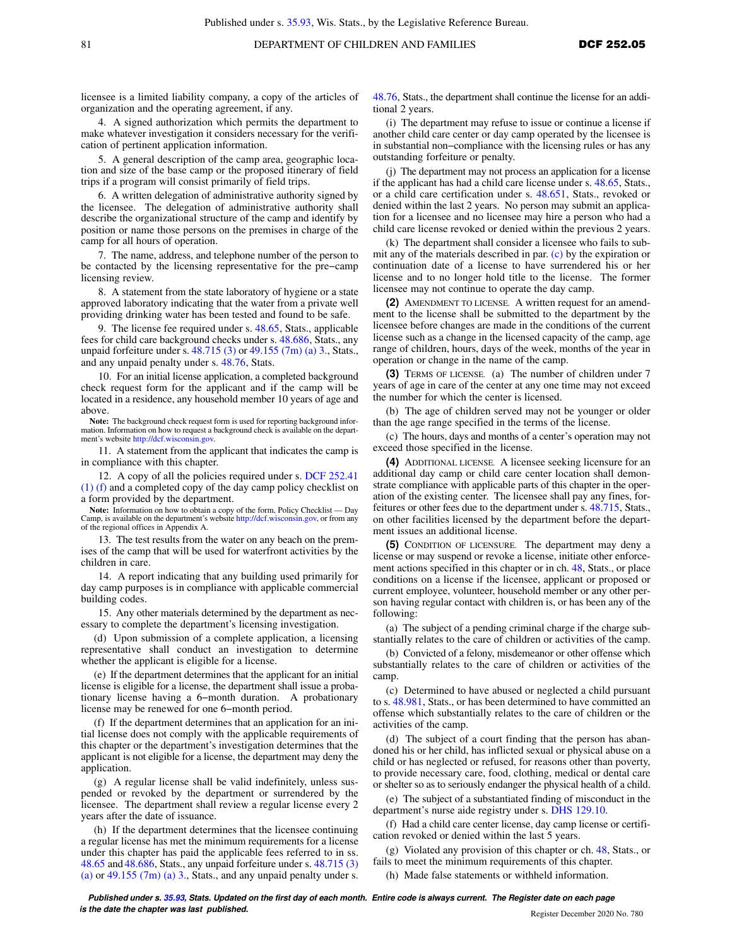licensee is a limited liability company, a copy of the articles of organization and the operating agreement, if any.

4. A signed authorization which permits the department to make whatever investigation it considers necessary for the verification of pertinent application information.

5. A general description of the camp area, geographic location and size of the base camp or the proposed itinerary of field trips if a program will consist primarily of field trips.

6. A written delegation of administrative authority signed by the licensee. The delegation of administrative authority shall describe the organizational structure of the camp and identify by position or name those persons on the premises in charge of the camp for all hours of operation.

7. The name, address, and telephone number of the person to be contacted by the licensing representative for the pre−camp licensing review.

8. A statement from the state laboratory of hygiene or a state approved laboratory indicating that the water from a private well providing drinking water has been tested and found to be safe.

9. The license fee required under s. [48.65,](https://docs-preview.legis.wisconsin.gov/document/statutes/48.65) Stats., applicable fees for child care background checks under s. [48.686,](https://docs-preview.legis.wisconsin.gov/document/statutes/48.686) Stats., any unpaid forfeiture under s. [48.715 \(3\)](https://docs-preview.legis.wisconsin.gov/document/statutes/48.715(3)) or [49.155 \(7m\) \(a\) 3.,](https://docs-preview.legis.wisconsin.gov/document/statutes/49.155(7m)(a)3.) Stats., and any unpaid penalty under s. [48.76,](https://docs-preview.legis.wisconsin.gov/document/statutes/48.76) Stats.

10. For an initial license application, a completed background check request form for the applicant and if the camp will be located in a residence, any household member 10 years of age and above.

**Note:** The background check request form is used for reporting background information. Information on how to request a background check is available on the department's website [http://dcf.wisconsin.gov.](http://dcf.wisconsin.gov)

11. A statement from the applicant that indicates the camp is in compliance with this chapter.

12. A copy of all the policies required under s. [DCF 252.41](https://docs-preview.legis.wisconsin.gov/document/administrativecode/DCF%20252.41(1)(f)) [\(1\) \(f\)](https://docs-preview.legis.wisconsin.gov/document/administrativecode/DCF%20252.41(1)(f)) and a completed copy of the day camp policy checklist on a form provided by the department.

**Note:** Information on how to obtain a copy of the form, Policy Checklist — Day Camp, is available on the department's website [http://dcf.wisconsin.gov,](http://dcf.wisconsin.gov) or from any of the regional offices in Appendix A.

13. The test results from the water on any beach on the premises of the camp that will be used for waterfront activities by the children in care.

14. A report indicating that any building used primarily for day camp purposes is in compliance with applicable commercial building codes.

15. Any other materials determined by the department as necessary to complete the department's licensing investigation.

(d) Upon submission of a complete application, a licensing representative shall conduct an investigation to determine whether the applicant is eligible for a license.

(e) If the department determines that the applicant for an initial license is eligible for a license, the department shall issue a probationary license having a 6−month duration. A probationary license may be renewed for one 6−month period.

(f) If the department determines that an application for an initial license does not comply with the applicable requirements of this chapter or the department's investigation determines that the applicant is not eligible for a license, the department may deny the application.

(g) A regular license shall be valid indefinitely, unless suspended or revoked by the department or surrendered by the licensee. The department shall review a regular license every 2 years after the date of issuance.

(h) If the department determines that the licensee continuing a regular license has met the minimum requirements for a license under this chapter has paid the applicable fees referred to in ss. [48.65](https://docs-preview.legis.wisconsin.gov/document/statutes/48.65) and [48.686](https://docs-preview.legis.wisconsin.gov/document/statutes/48.686), Stats., any unpaid forfeiture under s. [48.715 \(3\)](https://docs-preview.legis.wisconsin.gov/document/statutes/48.715(3)(a)) [\(a\)](https://docs-preview.legis.wisconsin.gov/document/statutes/48.715(3)(a)) or  $49.155$  (7m) (a) 3., Stats., and any unpaid penalty under s.

[48.76,](https://docs-preview.legis.wisconsin.gov/document/statutes/48.76) Stats., the department shall continue the license for an additional 2 years.

(i) The department may refuse to issue or continue a license if another child care center or day camp operated by the licensee is in substantial non−compliance with the licensing rules or has any outstanding forfeiture or penalty.

(j) The department may not process an application for a license if the applicant has had a child care license under s. [48.65,](https://docs-preview.legis.wisconsin.gov/document/statutes/48.65) Stats., or a child care certification under s. [48.651,](https://docs-preview.legis.wisconsin.gov/document/statutes/48.651) Stats., revoked or denied within the last 2 years. No person may submit an application for a licensee and no licensee may hire a person who had a child care license revoked or denied within the previous 2 years.

(k) The department shall consider a licensee who fails to submit any of the materials described in par. [\(c\)](https://docs-preview.legis.wisconsin.gov/document/administrativecode/DCF%20252.05(1)(c)) by the expiration or continuation date of a license to have surrendered his or her license and to no longer hold title to the license. The former licensee may not continue to operate the day camp.

**(2)** AMENDMENT TO LICENSE. A written request for an amendment to the license shall be submitted to the department by the licensee before changes are made in the conditions of the current license such as a change in the licensed capacity of the camp, age range of children, hours, days of the week, months of the year in operation or change in the name of the camp.

**(3)** TERMS OF LICENSE. (a) The number of children under 7 years of age in care of the center at any one time may not exceed the number for which the center is licensed.

(b) The age of children served may not be younger or older than the age range specified in the terms of the license.

(c) The hours, days and months of a center's operation may not exceed those specified in the license.

**(4)** ADDITIONAL LICENSE. A licensee seeking licensure for an additional day camp or child care center location shall demonstrate compliance with applicable parts of this chapter in the operation of the existing center. The licensee shall pay any fines, forfeitures or other fees due to the department under s. [48.715](https://docs-preview.legis.wisconsin.gov/document/statutes/48.715), Stats., on other facilities licensed by the department before the department issues an additional license.

**(5)** CONDITION OF LICENSURE. The department may deny a license or may suspend or revoke a license, initiate other enforce-ment actions specified in this chapter or in ch. [48](https://docs-preview.legis.wisconsin.gov/document/statutes/ch.%2048), Stats., or place conditions on a license if the licensee, applicant or proposed or current employee, volunteer, household member or any other person having regular contact with children is, or has been any of the following:

(a) The subject of a pending criminal charge if the charge substantially relates to the care of children or activities of the camp.

(b) Convicted of a felony, misdemeanor or other offense which substantially relates to the care of children or activities of the camp.

(c) Determined to have abused or neglected a child pursuant to s. [48.981,](https://docs-preview.legis.wisconsin.gov/document/statutes/48.981) Stats., or has been determined to have committed an offense which substantially relates to the care of children or the activities of the camp.

(d) The subject of a court finding that the person has abandoned his or her child, has inflicted sexual or physical abuse on a child or has neglected or refused, for reasons other than poverty, to provide necessary care, food, clothing, medical or dental care or shelter so as to seriously endanger the physical health of a child.

(e) The subject of a substantiated finding of misconduct in the department's nurse aide registry under s. [DHS 129.10](https://docs-preview.legis.wisconsin.gov/document/administrativecode/DHS%20129.10).

(f) Had a child care center license, day camp license or certification revoked or denied within the last 5 years.

(g) Violated any provision of this chapter or ch. [48](https://docs-preview.legis.wisconsin.gov/document/statutes/ch.%2048), Stats., or fails to meet the minimum requirements of this chapter.

(h) Made false statements or withheld information.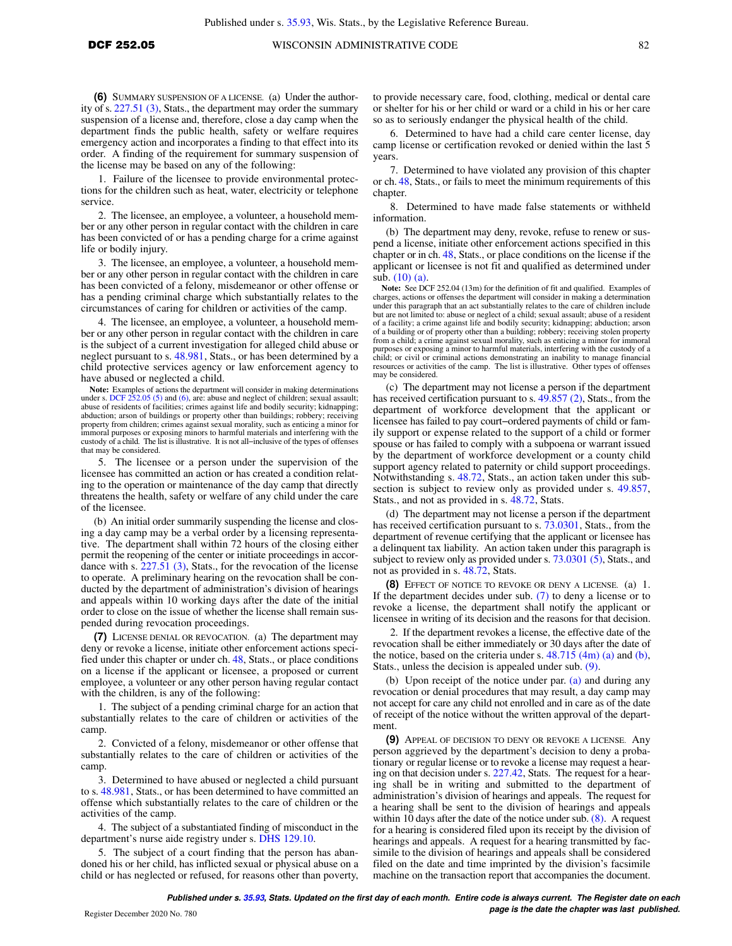**(6)** SUMMARY SUSPENSION OF A LICENSE. (a) Under the authority of s. [227.51 \(3\),](https://docs-preview.legis.wisconsin.gov/document/statutes/227.51(3)) Stats., the department may order the summary suspension of a license and, therefore, close a day camp when the department finds the public health, safety or welfare requires emergency action and incorporates a finding to that effect into its order. A finding of the requirement for summary suspension of the license may be based on any of the following:

1. Failure of the licensee to provide environmental protections for the children such as heat, water, electricity or telephone service.

2. The licensee, an employee, a volunteer, a household member or any other person in regular contact with the children in care has been convicted of or has a pending charge for a crime against life or bodily injury.

3. The licensee, an employee, a volunteer, a household member or any other person in regular contact with the children in care has been convicted of a felony, misdemeanor or other offense or has a pending criminal charge which substantially relates to the circumstances of caring for children or activities of the camp.

4. The licensee, an employee, a volunteer, a household member or any other person in regular contact with the children in care is the subject of a current investigation for alleged child abuse or neglect pursuant to s. [48.981,](https://docs-preview.legis.wisconsin.gov/document/statutes/48.981) Stats., or has been determined by a child protective services agency or law enforcement agency to have abused or neglected a child.

**Note:** Examples of actions the department will consider in making determinations under s. [DCF 252.05 \(5\)](https://docs-preview.legis.wisconsin.gov/document/administrativecode/DCF%20252.05(5)) and [\(6\),](https://docs-preview.legis.wisconsin.gov/document/administrativecode/DCF%20252.05(6)) are: abuse and neglect of children; sexual assault; abuse of residents of facilities; crimes against life and bodily security; kidnapping; abduction; arson of buildings or property other than buildings; robbery; receiving property from children; crimes against sexual morality, such as enticing a minor for immoral purposes or exposing minors to harmful materials and interfering with the custody of a child. The list is illustrative. It is not all−inclusive of the types of offenses that may be considered.

5. The licensee or a person under the supervision of the licensee has committed an action or has created a condition relating to the operation or maintenance of the day camp that directly threatens the health, safety or welfare of any child under the care of the licensee.

(b) An initial order summarily suspending the license and closing a day camp may be a verbal order by a licensing representative. The department shall within 72 hours of the closing either permit the reopening of the center or initiate proceedings in accordance with s. [227.51 \(3\),](https://docs-preview.legis.wisconsin.gov/document/statutes/227.51(3)) Stats., for the revocation of the license to operate. A preliminary hearing on the revocation shall be conducted by the department of administration's division of hearings and appeals within 10 working days after the date of the initial order to close on the issue of whether the license shall remain suspended during revocation proceedings.

**(7)** LICENSE DENIAL OR REVOCATION. (a) The department may deny or revoke a license, initiate other enforcement actions specified under this chapter or under ch. [48,](https://docs-preview.legis.wisconsin.gov/document/statutes/ch.%2048) Stats., or place conditions on a license if the applicant or licensee, a proposed or current employee, a volunteer or any other person having regular contact with the children, is any of the following:

1. The subject of a pending criminal charge for an action that substantially relates to the care of children or activities of the camp.

2. Convicted of a felony, misdemeanor or other offense that substantially relates to the care of children or activities of the camp.

3. Determined to have abused or neglected a child pursuant to s. [48.981](https://docs-preview.legis.wisconsin.gov/document/statutes/48.981), Stats., or has been determined to have committed an offense which substantially relates to the care of children or the activities of the camp.

4. The subject of a substantiated finding of misconduct in the department's nurse aide registry under s. [DHS 129.10](https://docs-preview.legis.wisconsin.gov/document/administrativecode/DHS%20129.10).

5. The subject of a court finding that the person has abandoned his or her child, has inflicted sexual or physical abuse on a child or has neglected or refused, for reasons other than poverty, to provide necessary care, food, clothing, medical or dental care or shelter for his or her child or ward or a child in his or her care so as to seriously endanger the physical health of the child.

6. Determined to have had a child care center license, day camp license or certification revoked or denied within the last 5 years.

7. Determined to have violated any provision of this chapter or ch. [48,](https://docs-preview.legis.wisconsin.gov/document/statutes/ch.%2048) Stats., or fails to meet the minimum requirements of this chapter.

8. Determined to have made false statements or withheld information.

(b) The department may deny, revoke, refuse to renew or suspend a license, initiate other enforcement actions specified in this chapter or in ch. [48,](https://docs-preview.legis.wisconsin.gov/document/statutes/ch.%2048) Stats., or place conditions on the license if the applicant or licensee is not fit and qualified as determined under sub. [\(10\) \(a\).](https://docs-preview.legis.wisconsin.gov/document/administrativecode/DCF%20252.05(10)(a))

**Note:** See DCF 252.04 (13m) for the definition of fit and qualified. Examples of charges, actions or offenses the department will consider in making a determination under this paragraph that an act substantially relates to the care of children include but are not limited to: abuse or neglect of a child; sexual assault; abuse of a resident of a facility; a crime against life and bodily security; kidnapping; abduction; arson of a building or of property other than a building; robbery; receiving stolen property from a child; a crime against sexual morality, such as enticing a minor for immoral purposes or exposing a minor to harmful materials, interfering with the custody of a child; or civil or criminal actions demonstrating an inability to manage financial resources or activities of the camp. The list is illustrative. Other types of offenses may be considered.

(c) The department may not license a person if the department has received certification pursuant to s. [49.857 \(2\)](https://docs-preview.legis.wisconsin.gov/document/statutes/49.857(2)), Stats., from the department of workforce development that the applicant or licensee has failed to pay court−ordered payments of child or family support or expense related to the support of a child or former spouse or has failed to comply with a subpoena or warrant issued by the department of workforce development or a county child support agency related to paternity or child support proceedings. Notwithstanding s. [48.72](https://docs-preview.legis.wisconsin.gov/document/statutes/48.72), Stats., an action taken under this subsection is subject to review only as provided under s. [49.857,](https://docs-preview.legis.wisconsin.gov/document/statutes/49.857) Stats., and not as provided in s. [48.72,](https://docs-preview.legis.wisconsin.gov/document/statutes/48.72) Stats.

(d) The department may not license a person if the department has received certification pursuant to s. [73.0301,](https://docs-preview.legis.wisconsin.gov/document/statutes/73.0301) Stats., from the department of revenue certifying that the applicant or licensee has a delinquent tax liability. An action taken under this paragraph is subject to review only as provided under s. [73.0301 \(5\)](https://docs-preview.legis.wisconsin.gov/document/statutes/73.0301(5)), Stats., and not as provided in s. [48.72,](https://docs-preview.legis.wisconsin.gov/document/statutes/48.72) Stats.

**(8)** EFFECT OF NOTICE TO REVOKE OR DENY A LICENSE. (a) 1. If the department decides under sub. [\(7\)](https://docs-preview.legis.wisconsin.gov/document/administrativecode/DCF%20252.05(7)) to deny a license or to revoke a license, the department shall notify the applicant or licensee in writing of its decision and the reasons for that decision.

2. If the department revokes a license, the effective date of the revocation shall be either immediately or 30 days after the date of the notice, based on the criteria under s.  $48.715$  (4m) (a) and [\(b\),](https://docs-preview.legis.wisconsin.gov/document/statutes/48.715(4m)(b)) Stats., unless the decision is appealed under sub. [\(9\)](https://docs-preview.legis.wisconsin.gov/document/administrativecode/DCF%20252.05(9)).

(b) Upon receipt of the notice under par. [\(a\)](https://docs-preview.legis.wisconsin.gov/document/administrativecode/DCF%20252.05(8)(a)) and during any revocation or denial procedures that may result, a day camp may not accept for care any child not enrolled and in care as of the date of receipt of the notice without the written approval of the department.

**(9)** APPEAL OF DECISION TO DENY OR REVOKE A LICENSE. Any person aggrieved by the department's decision to deny a probationary or regular license or to revoke a license may request a hearing on that decision under s. [227.42,](https://docs-preview.legis.wisconsin.gov/document/statutes/227.42) Stats. The request for a hearing shall be in writing and submitted to the department of administration's division of hearings and appeals. The request for a hearing shall be sent to the division of hearings and appeals within 10 days after the date of the notice under sub. [\(8\)](https://docs-preview.legis.wisconsin.gov/document/administrativecode/DCF%20252.05(8)). A request for a hearing is considered filed upon its receipt by the division of hearings and appeals. A request for a hearing transmitted by facsimile to the division of hearings and appeals shall be considered filed on the date and time imprinted by the division's facsimile machine on the transaction report that accompanies the document.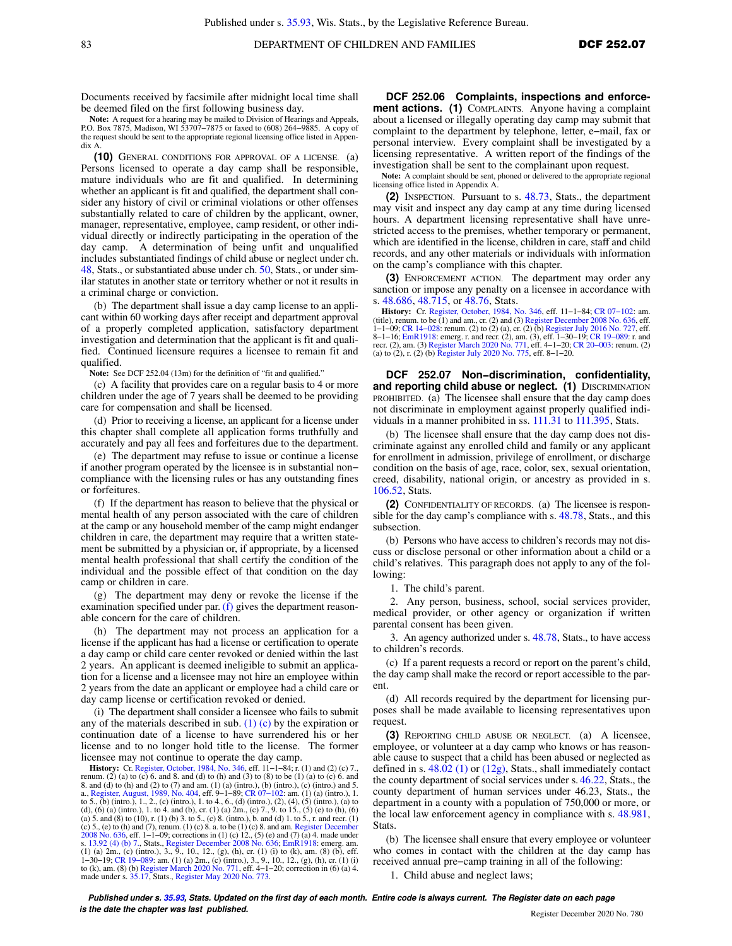Documents received by facsimile after midnight local time shall be deemed filed on the first following business day.

**Note:** A request for a hearing may be mailed to Division of Hearings and Appeals, P.O. Box 7875, Madison, WI 53707−7875 or faxed to (608) 264−9885. A copy of the request should be sent to the appropriate regional licensing office listed in Appendix A.

**(10)** GENERAL CONDITIONS FOR APPROVAL OF A LICENSE. (a) Persons licensed to operate a day camp shall be responsible, mature individuals who are fit and qualified. In determining whether an applicant is fit and qualified, the department shall consider any history of civil or criminal violations or other offenses substantially related to care of children by the applicant, owner, manager, representative, employee, camp resident, or other individual directly or indirectly participating in the operation of the day camp. A determination of being unfit and unqualified includes substantiated findings of child abuse or neglect under ch. [48,](https://docs-preview.legis.wisconsin.gov/document/statutes/ch.%2048) Stats., or substantiated abuse under ch. [50](https://docs-preview.legis.wisconsin.gov/document/statutes/ch.%2050), Stats., or under similar statutes in another state or territory whether or not it results in a criminal charge or conviction.

(b) The department shall issue a day camp license to an applicant within 60 working days after receipt and department approval of a properly completed application, satisfactory department investigation and determination that the applicant is fit and qualified. Continued licensure requires a licensee to remain fit and qualified.

**Note:** See DCF 252.04 (13m) for the definition of "fit and qualified."

(c) A facility that provides care on a regular basis to 4 or more children under the age of 7 years shall be deemed to be providing care for compensation and shall be licensed.

(d) Prior to receiving a license, an applicant for a license under this chapter shall complete all application forms truthfully and accurately and pay all fees and forfeitures due to the department.

(e) The department may refuse to issue or continue a license if another program operated by the licensee is in substantial non− compliance with the licensing rules or has any outstanding fines or forfeitures.

(f) If the department has reason to believe that the physical or mental health of any person associated with the care of children at the camp or any household member of the camp might endanger children in care, the department may require that a written statement be submitted by a physician or, if appropriate, by a licensed mental health professional that shall certify the condition of the individual and the possible effect of that condition on the day camp or children in care.

(g) The department may deny or revoke the license if the examination specified under par. [\(f\)](https://docs-preview.legis.wisconsin.gov/document/administrativecode/DCF%20252.05(10)(f)) gives the department reasonable concern for the care of children.

(h) The department may not process an application for a license if the applicant has had a license or certification to operate a day camp or child care center revoked or denied within the last 2 years. An applicant is deemed ineligible to submit an application for a license and a licensee may not hire an employee within 2 years from the date an applicant or employee had a child care or day camp license or certification revoked or denied.

(i) The department shall consider a licensee who fails to submit any of the materials described in sub.  $(1)$  (c) by the expiration or continuation date of a license to have surrendered his or her license and to no longer hold title to the license. The former licensee may not continue to operate the day camp.

**History:** Cr. [Register, October, 1984, No. 346,](https://docs-preview.legis.wisconsin.gov/document/register/346/B/toc) eff. 11–1−84; r. (1) and (2) (c) 7., renum. (2) (a) to (c) 6. and 8. and (d) to (h) and (3) to (8) to be (1) (a) to (c) 6. and 8. and (d) to (h) and (2) to (7) and am. (1) (a) (intro.), (b) (intro.), (c) (intro.) and 5. a., [Register, August, 1989, No. 404,](https://docs-preview.legis.wisconsin.gov/document/register/404/B/toc) eff. 9–1–89; CR 07–102: am. (1) (a) (intro.), 1.<br>to 5., (b) (intro.), 1., 2., (c) (intro.), 1. to 4., 6., (d) (intro.), (2), (4), (5) (intro.), (a) to<br>(d), (6) (a) (intro.), 1. to 4. an (a) 5. and (8) to (10), r. (1) (b) 3. to 5., (c) 8. (intro.), b. and (d) 1. to 5., r. and recr. (1) (c) 5., (c) 10, (c) 3. a. to be (1) (c) 8. a. to be (1) (c) 3. a. to be (1) (c) 8. a. to be (1) (c) 8. and am. Register De s. [13.92 \(4\) \(b\) 7.,](https://docs-preview.legis.wisconsin.gov/document/statutes/13.92(4)(b)7.) Stats., [Register December 2008 No. 636](https://docs-preview.legis.wisconsin.gov/document/register/636/B/toc); [EmR1918](https://docs-preview.legis.wisconsin.gov/document/emergencyrules/EmR1918): emerg. am. (1) (a) 2m., (c) (intro.), 3., 9., 10., 12., (g), (h), or. (1) (i) to (k), am. (8) (b), eff. (1) d) 1-30-19; (c) (intro.), 3., 9., 10., 10., made under s. [35.17](https://docs-preview.legis.wisconsin.gov/document/statutes/35.17), Stats., [Register May 2020 No. 773.](https://docs-preview.legis.wisconsin.gov/document/register/773/B/toc)

**DCF 252.06 Complaints, inspections and enforcement actions.** (1) COMPLAINTS. Anyone having a complaint about a licensed or illegally operating day camp may submit that complaint to the department by telephone, letter, e−mail, fax or personal interview. Every complaint shall be investigated by a licensing representative. A written report of the findings of the investigation shall be sent to the complainant upon request.

**Note:** A complaint should be sent, phoned or delivered to the appropriate regional licensing office listed in Appendix A.

**(2)** INSPECTION. Pursuant to s. [48.73,](https://docs-preview.legis.wisconsin.gov/document/statutes/48.73) Stats., the department may visit and inspect any day camp at any time during licensed hours. A department licensing representative shall have unrestricted access to the premises, whether temporary or permanent, which are identified in the license, children in care, staff and child records, and any other materials or individuals with information on the camp's compliance with this chapter.

**(3)** ENFORCEMENT ACTION. The department may order any sanction or impose any penalty on a licensee in accordance with s. [48.686](https://docs-preview.legis.wisconsin.gov/document/statutes/48.686), [48.715,](https://docs-preview.legis.wisconsin.gov/document/statutes/48.715) or [48.76](https://docs-preview.legis.wisconsin.gov/document/statutes/48.76), Stats.

**History:** Cr. [Register, October, 1984, No. 346](https://docs-preview.legis.wisconsin.gov/document/register/346/B/toc), eff. 11–1–84; CR 07–102: am.<br>(title), renum. to be (1) and am., cr. (2) and (3) [Register December 2008 No. 636,](https://docs-preview.legis.wisconsin.gov/document/register/636/B/toc) eff.<br>1–1–09; CR 14–028: renum. (2) to (2) (a), cr. (2) (b) Re 8−1−16; [EmR1918](https://docs-preview.legis.wisconsin.gov/document/emergencyrules/EmR1918): emerg. r. and recr. (2), am. (3), eff. 1−30−19; [CR 19−089](https://docs-preview.legis.wisconsin.gov/document/cr/2019/89): r. and recr. (2), am. (3) [Register March 2020 No. 771](https://docs-preview.legis.wisconsin.gov/document/register/771/B/toc), eff. 4−1−20; [CR 20−003](https://docs-preview.legis.wisconsin.gov/document/cr/2020/3): renum. (2) (a) to (2), r. (2) (b) [Register July 2020 No. 775,](https://docs-preview.legis.wisconsin.gov/document/register/775/B/toc) eff. 8−1−20.

**DCF 252.07 Non−discrimination, confidentiality, and reporting child abuse or neglect. (1)** DISCRIMINATION PROHIBITED. (a) The licensee shall ensure that the day camp does not discriminate in employment against properly qualified individuals in a manner prohibited in ss. [111.31](https://docs-preview.legis.wisconsin.gov/document/statutes/111.31) to [111.395](https://docs-preview.legis.wisconsin.gov/document/statutes/111.395), Stats.

(b) The licensee shall ensure that the day camp does not discriminate against any enrolled child and family or any applicant for enrollment in admission, privilege of enrollment, or discharge condition on the basis of age, race, color, sex, sexual orientation, creed, disability, national origin, or ancestry as provided in s. [106.52](https://docs-preview.legis.wisconsin.gov/document/statutes/106.52), Stats.

**(2)** CONFIDENTIALITY OF RECORDS. (a) The licensee is responsible for the day camp's compliance with s. [48.78](https://docs-preview.legis.wisconsin.gov/document/statutes/48.78), Stats., and this subsection.

(b) Persons who have access to children's records may not discuss or disclose personal or other information about a child or a child's relatives. This paragraph does not apply to any of the following:

1. The child's parent.

2. Any person, business, school, social services provider, medical provider, or other agency or organization if written parental consent has been given.

3. An agency authorized under s. [48.78](https://docs-preview.legis.wisconsin.gov/document/statutes/48.78), Stats., to have access to children's records.

(c) If a parent requests a record or report on the parent's child, the day camp shall make the record or report accessible to the parent.

(d) All records required by the department for licensing purposes shall be made available to licensing representatives upon request.

**(3)** REPORTING CHILD ABUSE OR NEGLECT. (a) A licensee, employee, or volunteer at a day camp who knows or has reasonable cause to suspect that a child has been abused or neglected as defined in s.  $48.02$  (1) or [\(12g\)](https://docs-preview.legis.wisconsin.gov/document/statutes/48.02(12g)), Stats., shall immediately contact the county department of social services under s. [46.22,](https://docs-preview.legis.wisconsin.gov/document/statutes/46.22) Stats., the county department of human services under 46.23, Stats., the department in a county with a population of 750,000 or more, or the local law enforcement agency in compliance with s. [48.981,](https://docs-preview.legis.wisconsin.gov/document/statutes/48.981) Stats.

(b) The licensee shall ensure that every employee or volunteer who comes in contact with the children at the day camp has received annual pre−camp training in all of the following:

1. Child abuse and neglect laws;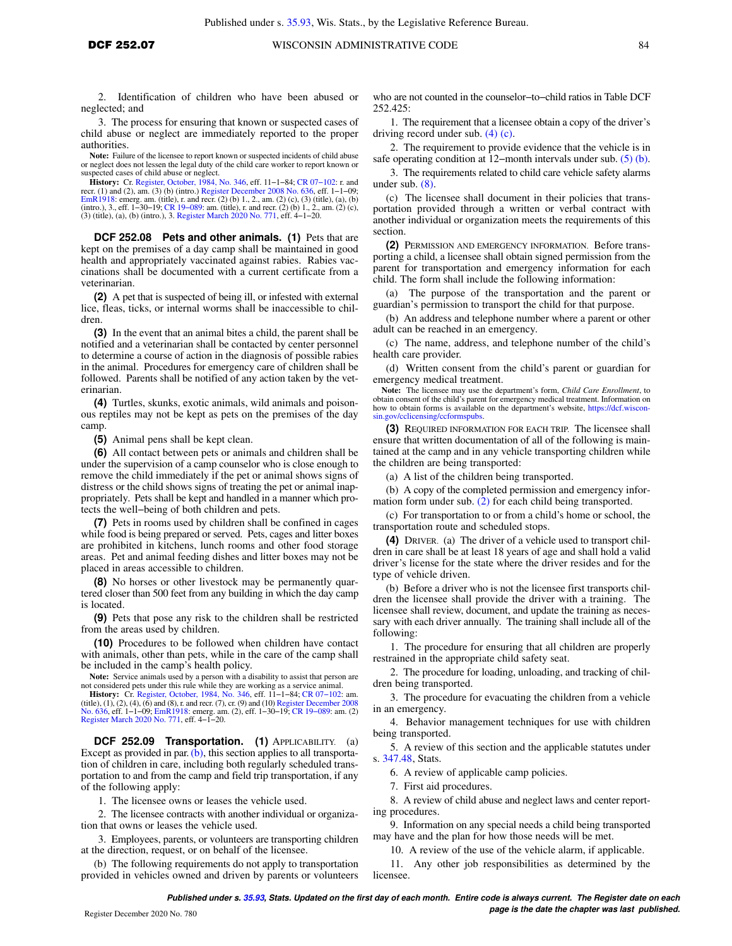2. Identification of children who have been abused or neglected; and

3. The process for ensuring that known or suspected cases of child abuse or neglect are immediately reported to the proper authorities.

**Note:** Failure of the licensee to report known or suspected incidents of child abuse or neglect does not lessen the legal duty of the child care worker to report known or suspected cases of child abuse or neglect.

**History:** Cr. [Register, October, 1984, No. 346,](https://docs-preview.legis.wisconsin.gov/document/register/346/B/toc) eff. 11−1−84; [CR 07−102:](https://docs-preview.legis.wisconsin.gov/document/cr/2007/102) r. and recr. (1) and (2), am. (3) (b) (intro.) [Register December 2008 No. 636](https://docs-preview.legis.wisconsin.gov/document/register/636/B/toc), eff. 1–1–09;<br>[EmR1918](https://docs-preview.legis.wisconsin.gov/document/emergencyrules/EmR1918): emerg. am. (title), r. and recr. (2) (b) 1., 2., am. (2) (c), (3) (title), (a), (b)<br>(intro.), 3., eff. 1–30–19; CR 19–089: am. ( (3) (title), (a), (b) (intro.), 3. [Register March 2020 No. 771,](https://docs-preview.legis.wisconsin.gov/document/register/771/B/toc) eff. 4−1−20.

**DCF 252.08 Pets and other animals. (1)** Pets that are kept on the premises of a day camp shall be maintained in good health and appropriately vaccinated against rabies. Rabies vaccinations shall be documented with a current certificate from a veterinarian.

**(2)** A pet that is suspected of being ill, or infested with external lice, fleas, ticks, or internal worms shall be inaccessible to children.

**(3)** In the event that an animal bites a child, the parent shall be notified and a veterinarian shall be contacted by center personnel to determine a course of action in the diagnosis of possible rabies in the animal. Procedures for emergency care of children shall be followed. Parents shall be notified of any action taken by the veterinarian.

**(4)** Turtles, skunks, exotic animals, wild animals and poisonous reptiles may not be kept as pets on the premises of the day camp.

**(5)** Animal pens shall be kept clean.

**(6)** All contact between pets or animals and children shall be under the supervision of a camp counselor who is close enough to remove the child immediately if the pet or animal shows signs of distress or the child shows signs of treating the pet or animal inappropriately. Pets shall be kept and handled in a manner which protects the well−being of both children and pets.

**(7)** Pets in rooms used by children shall be confined in cages while food is being prepared or served. Pets, cages and litter boxes are prohibited in kitchens, lunch rooms and other food storage areas. Pet and animal feeding dishes and litter boxes may not be placed in areas accessible to children.

**(8)** No horses or other livestock may be permanently quartered closer than 500 feet from any building in which the day camp is located.

**(9)** Pets that pose any risk to the children shall be restricted from the areas used by children.

**(10)** Procedures to be followed when children have contact with animals, other than pets, while in the care of the camp shall be included in the camp's health policy.

**Note:** Service animals used by a person with a disability to assist that person are not considered pets under this rule while they are working as a service animal.

**History:** Cr. [Register, October, 1984, No. 346,](https://docs-preview.legis.wisconsin.gov/document/register/346/B/toc) eff. 11–1–84; CR 07–102: am.<br>(title), (1), (2), (4), (6) and (8), r. and recr. (7), cr. (9) and (10) [Register December 2008](https://docs-preview.legis.wisconsin.gov/document/register/636/B/toc)<br>[No. 636](https://docs-preview.legis.wisconsin.gov/document/register/636/B/toc), eff. 1–1–09; EmR 1918: emerg. am. (2), e

**DCF 252.09 Transportation. (1)** APPLICABILITY. (a) Except as provided in par.  $(b)$ , this section applies to all transportation of children in care, including both regularly scheduled transportation to and from the camp and field trip transportation, if any of the following apply:

1. The licensee owns or leases the vehicle used.

2. The licensee contracts with another individual or organization that owns or leases the vehicle used.

3. Employees, parents, or volunteers are transporting children at the direction, request, or on behalf of the licensee.

(b) The following requirements do not apply to transportation provided in vehicles owned and driven by parents or volunteers who are not counted in the counselor−to−child ratios in Table DCF 252.425:

1. The requirement that a licensee obtain a copy of the driver's driving record under sub. [\(4\) \(c\).](https://docs-preview.legis.wisconsin.gov/document/administrativecode/DCF%20252.09(4)(c))

2. The requirement to provide evidence that the vehicle is in safe operating condition at 12−month intervals under sub. [\(5\) \(b\).](https://docs-preview.legis.wisconsin.gov/document/administrativecode/DCF%20252.09(5)(b))

3. The requirements related to child care vehicle safety alarms under sub. [\(8\).](https://docs-preview.legis.wisconsin.gov/document/administrativecode/DCF%20252.09(8))

(c) The licensee shall document in their policies that transportation provided through a written or verbal contract with another individual or organization meets the requirements of this section.

**(2)** PERMISSION AND EMERGENCY INFORMATION. Before transporting a child, a licensee shall obtain signed permission from the parent for transportation and emergency information for each child. The form shall include the following information:

(a) The purpose of the transportation and the parent or guardian's permission to transport the child for that purpose.

(b) An address and telephone number where a parent or other adult can be reached in an emergency.

(c) The name, address, and telephone number of the child's health care provider.

(d) Written consent from the child's parent or guardian for emergency medical treatment.

**Note:** The licensee may use the department's form, *Child Care Enrollment*, to obtain consent of the child's parent for emergency medical treatment. Information on how to obtain forms is available on the department's website, [https://dcf.wiscon](https://dcf.wisconsin.gov/cclicensing/ccformspubs)[sin.gov/cclicensing/ccformspubs.](https://dcf.wisconsin.gov/cclicensing/ccformspubs)

**(3)** REQUIRED INFORMATION FOR EACH TRIP. The licensee shall ensure that written documentation of all of the following is maintained at the camp and in any vehicle transporting children while the children are being transported:

(a) A list of the children being transported.

(b) A copy of the completed permission and emergency information form under sub. [\(2\)](https://docs-preview.legis.wisconsin.gov/document/administrativecode/DCF%20252.09(2)) for each child being transported.

(c) For transportation to or from a child's home or school, the transportation route and scheduled stops.

**(4)** DRIVER. (a) The driver of a vehicle used to transport children in care shall be at least 18 years of age and shall hold a valid driver's license for the state where the driver resides and for the type of vehicle driven.

(b) Before a driver who is not the licensee first transports children the licensee shall provide the driver with a training. The licensee shall review, document, and update the training as necessary with each driver annually. The training shall include all of the following:

1. The procedure for ensuring that all children are properly restrained in the appropriate child safety seat.

2. The procedure for loading, unloading, and tracking of children being transported.

3. The procedure for evacuating the children from a vehicle in an emergency.

4. Behavior management techniques for use with children being transported.

5. A review of this section and the applicable statutes under s. [347.48](https://docs-preview.legis.wisconsin.gov/document/statutes/347.48), Stats.

6. A review of applicable camp policies.

7. First aid procedures.

8. A review of child abuse and neglect laws and center reporting procedures.

9. Information on any special needs a child being transported may have and the plan for how those needs will be met.

10. A review of the use of the vehicle alarm, if applicable.

11. Any other job responsibilities as determined by the licensee.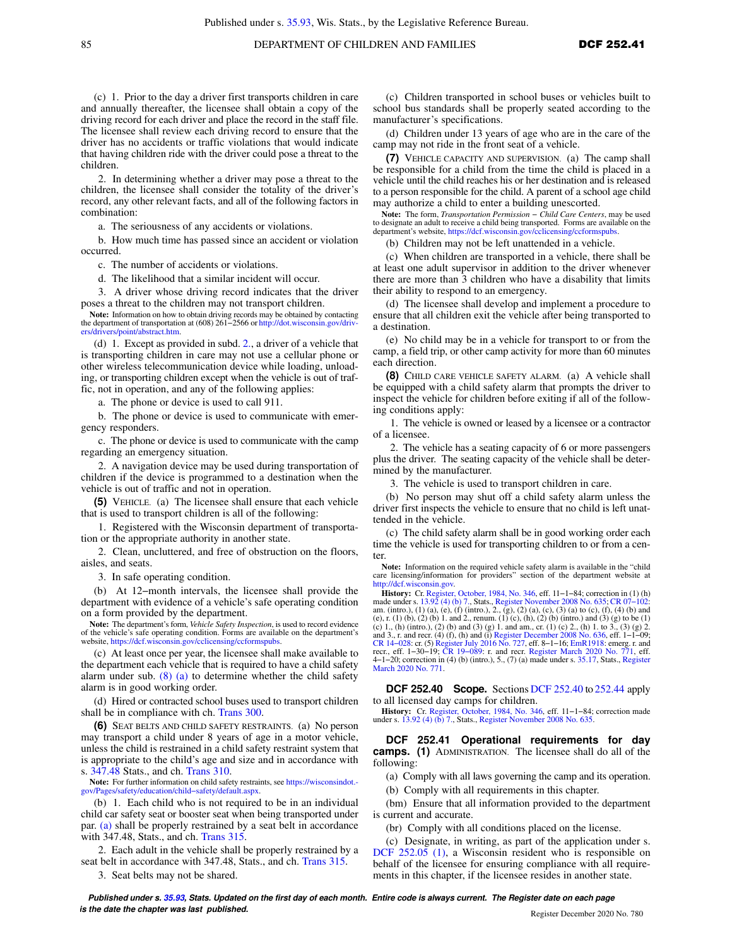(c) 1. Prior to the day a driver first transports children in care and annually thereafter, the licensee shall obtain a copy of the driving record for each driver and place the record in the staff file. The licensee shall review each driving record to ensure that the driver has no accidents or traffic violations that would indicate that having children ride with the driver could pose a threat to the children.

2. In determining whether a driver may pose a threat to the children, the licensee shall consider the totality of the driver's record, any other relevant facts, and all of the following factors in combination:

a. The seriousness of any accidents or violations.

b. How much time has passed since an accident or violation occurred.

c. The number of accidents or violations.

d. The likelihood that a similar incident will occur.

3. A driver whose driving record indicates that the driver poses a threat to the children may not transport children.

**Note:** Information on how to obtain driving records may be obtained by contacting the department of transportation at (608) 261−2566 or [http://dot.wisconsin.gov/driv-](http://dot.wisconsin.gov/drivers/drivers/point/abstract.htm)[ers/drivers/point/abstract.htm.](http://dot.wisconsin.gov/drivers/drivers/point/abstract.htm)

(d) 1. Except as provided in subd. [2.](https://docs-preview.legis.wisconsin.gov/document/administrativecode/DCF%20252.09(4)(d)2.), a driver of a vehicle that is transporting children in care may not use a cellular phone or other wireless telecommunication device while loading, unloading, or transporting children except when the vehicle is out of traffic, not in operation, and any of the following applies:

a. The phone or device is used to call 911.

b. The phone or device is used to communicate with emergency responders.

c. The phone or device is used to communicate with the camp regarding an emergency situation.

2. A navigation device may be used during transportation of children if the device is programmed to a destination when the vehicle is out of traffic and not in operation.

**(5)** VEHICLE. (a) The licensee shall ensure that each vehicle that is used to transport children is all of the following:

1. Registered with the Wisconsin department of transportation or the appropriate authority in another state.

2. Clean, uncluttered, and free of obstruction on the floors, aisles, and seats.

3. In safe operating condition.

(b) At 12−month intervals, the licensee shall provide the department with evidence of a vehicle's safe operating condition on a form provided by the department.

**Note:** The department's form, *Vehicle Safety Inspection*, is used to record evidence of the vehicle's safe operating condition. Forms are available on the department's website, <https://dcf.wisconsin.gov/cclicensing/ccformspubs>.

(c) At least once per year, the licensee shall make available to the department each vehicle that is required to have a child safety alarm under sub.  $(8)$  (a) to determine whether the child safety alarm is in good working order.

(d) Hired or contracted school buses used to transport children shall be in compliance with ch. [Trans 300.](https://docs-preview.legis.wisconsin.gov/document/administrativecode/ch.%20Trans%20300)

**(6)** SEAT BELTS AND CHILD SAFETY RESTRAINTS. (a) No person may transport a child under 8 years of age in a motor vehicle, unless the child is restrained in a child safety restraint system that is appropriate to the child's age and size and in accordance with s. [347.48](https://docs-preview.legis.wisconsin.gov/document/statutes/347.48) Stats., and ch. [Trans 310.](https://docs-preview.legis.wisconsin.gov/document/administrativecode/ch.%20Trans%20310)

**Note:** For further information on child safety restraints, see [https://wisconsindot.](https://wisconsindot.gov/Pages/safety/education/child-safety/default.aspx) [gov/Pages/safety/education/child−safety/default.aspx.](https://wisconsindot.gov/Pages/safety/education/child-safety/default.aspx)

(b) 1. Each child who is not required to be in an individual child car safety seat or booster seat when being transported under par. [\(a\)](https://docs-preview.legis.wisconsin.gov/document/administrativecode/DCF%20252.09(6)(a)) shall be properly restrained by a seat belt in accordance with 347.48, Stats., and ch. [Trans 315](https://docs-preview.legis.wisconsin.gov/document/administrativecode/ch.%20Trans%20315).

2. Each adult in the vehicle shall be properly restrained by a seat belt in accordance with 347.48, Stats., and ch. [Trans 315.](https://docs-preview.legis.wisconsin.gov/document/administrativecode/ch.%20Trans%20315)

3. Seat belts may not be shared.

(c) Children transported in school buses or vehicles built to school bus standards shall be properly seated according to the manufacturer's specifications.

(d) Children under 13 years of age who are in the care of the camp may not ride in the front seat of a vehicle.

**(7)** VEHICLE CAPACITY AND SUPERVISION. (a) The camp shall be responsible for a child from the time the child is placed in a vehicle until the child reaches his or her destination and is released to a person responsible for the child. A parent of a school age child may authorize a child to enter a building unescorted.

**Note:** The form, *Transportation Permission − Child Care Centers*, may be used to designate an adult to receive a child being transported. Forms are available on the department's website, [https://dcf.wisconsin.gov/cclicensing/ccformspubs.](https://dcf.wisconsin.gov/cclicensing/ccformspubs)

(b) Children may not be left unattended in a vehicle.

(c) When children are transported in a vehicle, there shall be at least one adult supervisor in addition to the driver whenever there are more than 3 children who have a disability that limits their ability to respond to an emergency.

(d) The licensee shall develop and implement a procedure to ensure that all children exit the vehicle after being transported to a destination.

(e) No child may be in a vehicle for transport to or from the camp, a field trip, or other camp activity for more than 60 minutes each direction.

**(8)** CHILD CARE VEHICLE SAFETY ALARM. (a) A vehicle shall be equipped with a child safety alarm that prompts the driver to inspect the vehicle for children before exiting if all of the following conditions apply:

1. The vehicle is owned or leased by a licensee or a contractor of a licensee.

2. The vehicle has a seating capacity of 6 or more passengers plus the driver. The seating capacity of the vehicle shall be determined by the manufacturer.

3. The vehicle is used to transport children in care.

(b) No person may shut off a child safety alarm unless the driver first inspects the vehicle to ensure that no child is left unattended in the vehicle.

(c) The child safety alarm shall be in good working order each time the vehicle is used for transporting children to or from a center.

**Note:** Information on the required vehicle safety alarm is available in the "child care licensing/information for providers" section of the department website at [http://dcf.wisconsin.gov.](http://dcf.wisconsin.gov)

**History:** Cr. [Register, October, 1984, No. 346,](https://docs-preview.legis.wisconsin.gov/document/register/346/B/toc) eff. 11−1−84; correction in (1) (h) made under s. [13.92 \(4\) \(b\) 7.,](https://docs-preview.legis.wisconsin.gov/document/statutes/13.92(4)(b)7.) Stats., [Register November 2008 No. 635](https://docs-preview.legis.wisconsin.gov/document/register/635/B/toc); CR 07–102:<br>am. (intro.), (1) (a), (e), (f) (intro.), 2., (g), (2) (a), (c), (3) (a) to (c), (f), (4) (b) and<br>(e), r. (1) (b), (2) (b) 1. and 2., renum (c) 1., (h) (intro.), (2) (b) and (3) (g) 1. and am., cr. (1) (c) 2., (h) 1. to 3., (3) (g) 2.<br>and 3., r. and recr. (4) (f), (h) and (i) [Register December 2008 No. 636,](https://docs-preview.legis.wisconsin.gov/document/register/636/B/toc) eff. 1–1–09;<br>CR 14–028: cr. (5) Register July 2016 No recr., eff. 1−30−19; [CR 19−089:](https://docs-preview.legis.wisconsin.gov/document/cr/2019/89) r. and recr. [Register March 2020 No. 771](https://docs-preview.legis.wisconsin.gov/document/register/771/B/toc), eff. 4−1−20; correction in (4) (b) (intro.), 5., (7) (a) made under s. [35.17](https://docs-preview.legis.wisconsin.gov/document/statutes/35.17), Stats., [Register](https://docs-preview.legis.wisconsin.gov/document/register/771/B/toc) [March 2020 No. 771.](https://docs-preview.legis.wisconsin.gov/document/register/771/B/toc)

**DCF 252.40 Scope.** Sections [DCF 252.40](https://docs-preview.legis.wisconsin.gov/document/administrativecode/DCF%20252.40) to [252.44](https://docs-preview.legis.wisconsin.gov/document/administrativecode/DCF%20252.44) apply to all licensed day camps for children.

**History:** Cr. [Register, October, 1984, No. 346](https://docs-preview.legis.wisconsin.gov/document/register/346/B/toc), eff. 11−1−84; correction made under s. [13.92 \(4\) \(b\) 7.,](https://docs-preview.legis.wisconsin.gov/document/statutes/13.92(4)(b)7.) Stats., [Register November 2008 No. 635.](https://docs-preview.legis.wisconsin.gov/document/register/635/B/toc)

**DCF 252.41 Operational requirements for day camps. (1)** ADMINISTRATION. The licensee shall do all of the following:

(a) Comply with all laws governing the camp and its operation.

(b) Comply with all requirements in this chapter.

(bm) Ensure that all information provided to the department is current and accurate.

(br) Comply with all conditions placed on the license.

(c) Designate, in writing, as part of the application under s. [DCF 252.05 \(1\),](https://docs-preview.legis.wisconsin.gov/document/administrativecode/DCF%20252.05(1)) a Wisconsin resident who is responsible on behalf of the licensee for ensuring compliance with all requirements in this chapter, if the licensee resides in another state.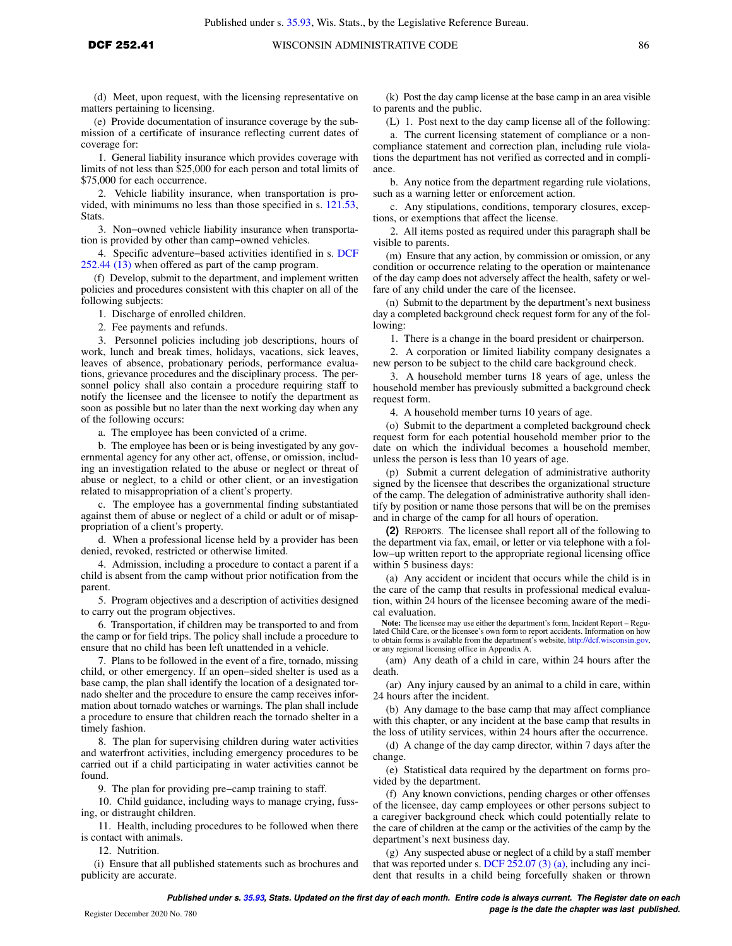(d) Meet, upon request, with the licensing representative on matters pertaining to licensing.

(e) Provide documentation of insurance coverage by the submission of a certificate of insurance reflecting current dates of coverage for:

1. General liability insurance which provides coverage with limits of not less than \$25,000 for each person and total limits of \$75,000 for each occurrence.

2. Vehicle liability insurance, when transportation is provided, with minimums no less than those specified in s. [121.53,](https://docs-preview.legis.wisconsin.gov/document/statutes/121.53) Stats.

3. Non−owned vehicle liability insurance when transportation is provided by other than camp−owned vehicles.

4. Specific adventure−based activities identified in s. [DCF](https://docs-preview.legis.wisconsin.gov/document/administrativecode/DCF%20252.44(13)) [252.44 \(13\)](https://docs-preview.legis.wisconsin.gov/document/administrativecode/DCF%20252.44(13)) when offered as part of the camp program.

(f) Develop, submit to the department, and implement written policies and procedures consistent with this chapter on all of the following subjects:

1. Discharge of enrolled children.

2. Fee payments and refunds.

3. Personnel policies including job descriptions, hours of work, lunch and break times, holidays, vacations, sick leaves, leaves of absence, probationary periods, performance evaluations, grievance procedures and the disciplinary process. The personnel policy shall also contain a procedure requiring staff to notify the licensee and the licensee to notify the department as soon as possible but no later than the next working day when any of the following occurs:

a. The employee has been convicted of a crime.

b. The employee has been or is being investigated by any governmental agency for any other act, offense, or omission, including an investigation related to the abuse or neglect or threat of abuse or neglect, to a child or other client, or an investigation related to misappropriation of a client's property.

c. The employee has a governmental finding substantiated against them of abuse or neglect of a child or adult or of misappropriation of a client's property.

d. When a professional license held by a provider has been denied, revoked, restricted or otherwise limited.

4. Admission, including a procedure to contact a parent if a child is absent from the camp without prior notification from the parent.

5. Program objectives and a description of activities designed to carry out the program objectives.

6. Transportation, if children may be transported to and from the camp or for field trips. The policy shall include a procedure to ensure that no child has been left unattended in a vehicle.

7. Plans to be followed in the event of a fire, tornado, missing child, or other emergency. If an open−sided shelter is used as a base camp, the plan shall identify the location of a designated tornado shelter and the procedure to ensure the camp receives information about tornado watches or warnings. The plan shall include a procedure to ensure that children reach the tornado shelter in a timely fashion.

8. The plan for supervising children during water activities and waterfront activities, including emergency procedures to be carried out if a child participating in water activities cannot be found.

9. The plan for providing pre-camp training to staff.

10. Child guidance, including ways to manage crying, fussing, or distraught children.

11. Health, including procedures to be followed when there is contact with animals.

12. Nutrition.

(i) Ensure that all published statements such as brochures and publicity are accurate.

(k) Post the day camp license at the base camp in an area visible to parents and the public.

(L) 1. Post next to the day camp license all of the following:

a. The current licensing statement of compliance or a noncompliance statement and correction plan, including rule violations the department has not verified as corrected and in compliance.

b. Any notice from the department regarding rule violations, such as a warning letter or enforcement action.

c. Any stipulations, conditions, temporary closures, exceptions, or exemptions that affect the license.

2. All items posted as required under this paragraph shall be visible to parents.

(m) Ensure that any action, by commission or omission, or any condition or occurrence relating to the operation or maintenance of the day camp does not adversely affect the health, safety or welfare of any child under the care of the licensee.

(n) Submit to the department by the department's next business day a completed background check request form for any of the following:

1. There is a change in the board president or chairperson.

2. A corporation or limited liability company designates a new person to be subject to the child care background check.

3. A household member turns 18 years of age, unless the household member has previously submitted a background check request form.

4. A household member turns 10 years of age.

(o) Submit to the department a completed background check request form for each potential household member prior to the date on which the individual becomes a household member, unless the person is less than 10 years of age.

(p) Submit a current delegation of administrative authority signed by the licensee that describes the organizational structure of the camp. The delegation of administrative authority shall identify by position or name those persons that will be on the premises and in charge of the camp for all hours of operation.

**(2)** REPORTS. The licensee shall report all of the following to the department via fax, email, or letter or via telephone with a follow−up written report to the appropriate regional licensing office within 5 business days:

(a) Any accident or incident that occurs while the child is in the care of the camp that results in professional medical evaluation, within 24 hours of the licensee becoming aware of the medical evaluation.

**Note:** The licensee may use either the department's form, Incident Report – Regulated Child Care, or the licensee's own form to report accidents. Information on how to obtain forms is available from the department's website, [http://dcf.wisconsin.gov,](http://dcf.wisconsin.gov) or any regional licensing office in Appendix A.

(am) Any death of a child in care, within 24 hours after the death.

(ar) Any injury caused by an animal to a child in care, within 24 hours after the incident.

(b) Any damage to the base camp that may affect compliance with this chapter, or any incident at the base camp that results in the loss of utility services, within 24 hours after the occurrence.

(d) A change of the day camp director, within 7 days after the change.

(e) Statistical data required by the department on forms provided by the department.

(f) Any known convictions, pending charges or other offenses of the licensee, day camp employees or other persons subject to a caregiver background check which could potentially relate to the care of children at the camp or the activities of the camp by the department's next business day.

(g) Any suspected abuse or neglect of a child by a staff member that was reported under s. [DCF 252.07 \(3\) \(a\),](https://docs-preview.legis.wisconsin.gov/document/administrativecode/DCF%20252.07(3)(a)) including any incident that results in a child being forcefully shaken or thrown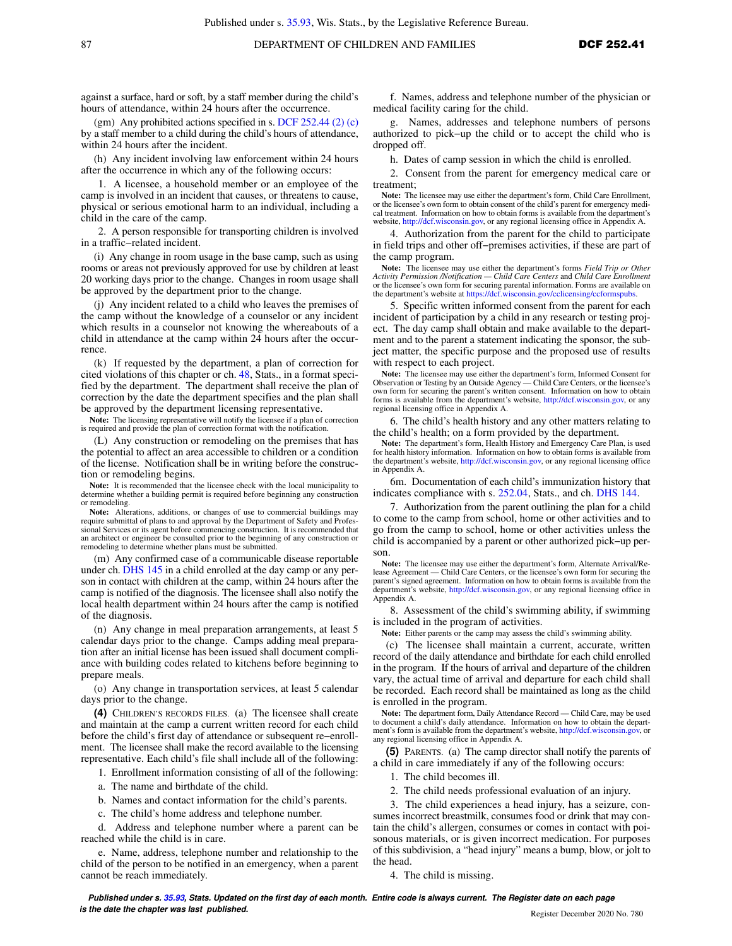against a surface, hard or soft, by a staff member during the child's hours of attendance, within 24 hours after the occurrence.

(gm) Any prohibited actions specified in s. [DCF 252.44 \(2\) \(c\)](https://docs-preview.legis.wisconsin.gov/document/administrativecode/DCF%20252.44(2)(c)) by a staff member to a child during the child's hours of attendance, within 24 hours after the incident.

(h) Any incident involving law enforcement within 24 hours after the occurrence in which any of the following occurs:

1. A licensee, a household member or an employee of the camp is involved in an incident that causes, or threatens to cause, physical or serious emotional harm to an individual, including a child in the care of the camp.

2. A person responsible for transporting children is involved in a traffic−related incident.

(i) Any change in room usage in the base camp, such as using rooms or areas not previously approved for use by children at least 20 working days prior to the change. Changes in room usage shall be approved by the department prior to the change.

(j) Any incident related to a child who leaves the premises of the camp without the knowledge of a counselor or any incident which results in a counselor not knowing the whereabouts of a child in attendance at the camp within 24 hours after the occurrence.

(k) If requested by the department, a plan of correction for cited violations of this chapter or ch. [48](https://docs-preview.legis.wisconsin.gov/document/statutes/ch.%2048), Stats., in a format specified by the department. The department shall receive the plan of correction by the date the department specifies and the plan shall be approved by the department licensing representative.

**Note:** The licensing representative will notify the licensee if a plan of correction is required and provide the plan of correction format with the notification.

(L) Any construction or remodeling on the premises that has the potential to affect an area accessible to children or a condition of the license. Notification shall be in writing before the construction or remodeling begins.

**Note:** It is recommended that the licensee check with the local municipality to determine whether a building permit is required before beginning any construction or remodeling.

**Note:** Alterations, additions, or changes of use to commercial buildings may require submittal of plans to and approval by the Department of Safety and Profes-sional Services or its agent before commencing construction. It is recommended that an architect or engineer be consulted prior to the beginning of any construction or remodeling to determine whether plans must be submitted.

(m) Any confirmed case of a communicable disease reportable under ch. [DHS 145](https://docs-preview.legis.wisconsin.gov/document/administrativecode/ch.%20DHS%20145) in a child enrolled at the day camp or any person in contact with children at the camp, within 24 hours after the camp is notified of the diagnosis. The licensee shall also notify the local health department within 24 hours after the camp is notified of the diagnosis.

(n) Any change in meal preparation arrangements, at least 5 calendar days prior to the change. Camps adding meal preparation after an initial license has been issued shall document compliance with building codes related to kitchens before beginning to prepare meals.

(o) Any change in transportation services, at least 5 calendar days prior to the change.

**(4)** CHILDREN'S RECORDS FILES. (a) The licensee shall create and maintain at the camp a current written record for each child before the child's first day of attendance or subsequent re−enrollment. The licensee shall make the record available to the licensing representative. Each child's file shall include all of the following:

1. Enrollment information consisting of all of the following:

a. The name and birthdate of the child.

b. Names and contact information for the child's parents.

c. The child's home address and telephone number.

d. Address and telephone number where a parent can be reached while the child is in care.

e. Name, address, telephone number and relationship to the child of the person to be notified in an emergency, when a parent cannot be reach immediately.

f. Names, address and telephone number of the physician or medical facility caring for the child.

g. Names, addresses and telephone numbers of persons authorized to pick−up the child or to accept the child who is dropped off.

h. Dates of camp session in which the child is enrolled.

2. Consent from the parent for emergency medical care or treatment;

**Note:** The licensee may use either the department's form, Child Care Enrollment, or the licensee's own form to obtain consent of the child's parent for emergency medical treatment. Information on how to obtain forms is available from the department's website, [http://dcf.wisconsin.gov,](http://dcf.wisconsin.gov) or any regional licensing office in Appendix A.

4. Authorization from the parent for the child to participate in field trips and other off−premises activities, if these are part of the camp program.

**Note:** The licensee may use either the department's forms *Field Trip or Other Activity Permission /Notification — Child Care Centers* and *Child Care Enrollment* or the licensee's own form for securing parental information. Forms are available on the department's website at [https://dcf.wisconsin.gov/cclicensing/ccformspubs.](https://dcf.wisconsin.gov/cclicensing/ccformspubs)

5. Specific written informed consent from the parent for each incident of participation by a child in any research or testing project. The day camp shall obtain and make available to the department and to the parent a statement indicating the sponsor, the subject matter, the specific purpose and the proposed use of results with respect to each project.

Note: The licensee may use either the department's form, Informed Consent for Observation or Testing by an Outside Agency — Child Care Centers, or the licensee's own form for securing the parent's written consent. Information on how to obtain forms is available from the department's website, [http://dcf.wisconsin.gov,](http://dcf.wisconsin.gov) or any regional licensing office in Appendix A.

6. The child's health history and any other matters relating to the child's health; on a form provided by the department.

**Note:** The department's form, Health History and Emergency Care Plan, is used for health history information. Information on how to obtain forms is available from the department's website, [http://dcf.wisconsin.gov,](http://dcf.wisconsin.gov) or any regional licensing office in Appendix A.

6m. Documentation of each child's immunization history that indicates compliance with s. [252.04,](https://docs-preview.legis.wisconsin.gov/document/statutes/252.04) Stats., and ch. [DHS 144](https://docs-preview.legis.wisconsin.gov/document/administrativecode/ch.%20DHS%20144).

7. Authorization from the parent outlining the plan for a child to come to the camp from school, home or other activities and to go from the camp to school, home or other activities unless the child is accompanied by a parent or other authorized pick−up person.

**Note:** The licensee may use either the department's form, Alternate Arrival/Release Agreement — Child Care Centers, or the licensee's own form for securing the parent's signed agreement. Information on how to obtain forms is available from the department's website, [http://dcf.wisconsin.gov,](http://dcf.wisconsin.gov) or any regional licensing office in Appendix A.

8. Assessment of the child's swimming ability, if swimming is included in the program of activities.

**Note:** Either parents or the camp may assess the child's swimming ability.

(c) The licensee shall maintain a current, accurate, written record of the daily attendance and birthdate for each child enrolled in the program. If the hours of arrival and departure of the children vary, the actual time of arrival and departure for each child shall be recorded. Each record shall be maintained as long as the child is enrolled in the program.

**Note:** The department form, Daily Attendance Record — Child Care, may be used to document a child's daily attendance. Information on how to obtain the department's form is available from the department's website, [http://dcf.wisconsin.gov,](http://dcf.wisconsin.gov) or any regional licensing office in Appendix A.

**(5)** PARENTS. (a) The camp director shall notify the parents of a child in care immediately if any of the following occurs:

1. The child becomes ill.

2. The child needs professional evaluation of an injury.

3. The child experiences a head injury, has a seizure, consumes incorrect breastmilk, consumes food or drink that may contain the child's allergen, consumes or comes in contact with poisonous materials, or is given incorrect medication. For purposes of this subdivision, a "head injury" means a bump, blow, or jolt to the head.

4. The child is missing.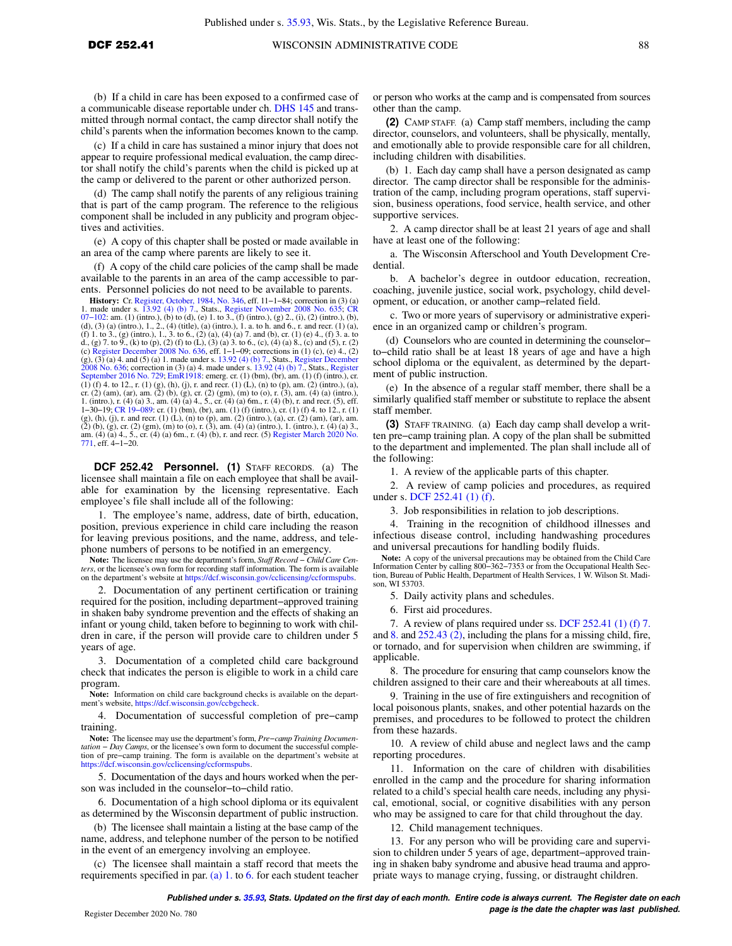(b) If a child in care has been exposed to a confirmed case of a communicable disease reportable under ch. [DHS 145](https://docs-preview.legis.wisconsin.gov/document/administrativecode/ch.%20DHS%20145) and transmitted through normal contact, the camp director shall notify the child's parents when the information becomes known to the camp.

(c) If a child in care has sustained a minor injury that does not appear to require professional medical evaluation, the camp director shall notify the child's parents when the child is picked up at the camp or delivered to the parent or other authorized person.

(d) The camp shall notify the parents of any religious training that is part of the camp program. The reference to the religious component shall be included in any publicity and program objectives and activities.

(e) A copy of this chapter shall be posted or made available in an area of the camp where parents are likely to see it.

(f) A copy of the child care policies of the camp shall be made available to the parents in an area of the camp accessible to parents. Personnel policies do not need to be available to parents.

**History:** Cr. [Register, October, 1984, No. 346,](https://docs-preview.legis.wisconsin.gov/document/register/346/B/toc) eff. 11–1–84; correction in (3) (a) 1. made under s. [13.92 \(4\) \(b\) 7.](https://docs-preview.legis.wisconsin.gov/document/statutes/13.92(4)(b)7.), Stats., [Register November 2008 No. 635](https://docs-preview.legis.wisconsin.gov/document/register/635/B/toc); [CR](https://docs-preview.legis.wisconsin.gov/document/cr/2007/102)  $07-102$ : am. (1) (intro.), (b) to (d), (e) 1. to 3., (f) (d), (3) (a) (intro.), 1., 2., (4) (title), (a) (intro.), 1. a. to h. and 6., r. and recr. (1) (a), (f) 1. to 3., (g) (intro.), 1., 3. to 6., (2) (a), (4) (a) 7. and (b), cr. (1) (e) 4., (f) 3. a. to d., (g) 7. to 9., (k) to (p), (2) (f) to (L), (3) (a) 3. to 6., (c), (4) (a) 8., (c) and (5), r. (2) (c) [Register December 2008 No. 636,](https://docs-preview.legis.wisconsin.gov/document/register/636/B/toc) eff. 1−1−09; corrections in (1) (c), (e) 4., (2)  $(g)$ ,  $(3)$   $(a)$  4. and  $(5)$   $(a)$  1. made under s. 13.92  $(4)$   $(b)$  7., Stats., [Register December](https://docs-preview.legis.wisconsin.gov/document/register/636/B/toc) [2008 No. 636;](https://docs-preview.legis.wisconsin.gov/document/register/636/B/toc) correction in (3) (a) 4. made under s. [13.92 \(4\) \(b\) 7.,](https://docs-preview.legis.wisconsin.gov/document/statutes/13.92(4)(b)7.) Stats., [Register](https://docs-preview.legis.wisconsin.gov/document/register/729/B/toc)<br>[September 2016 No. 729;](https://docs-preview.legis.wisconsin.gov/document/register/729/B/toc) [EmR1918:](https://docs-preview.legis.wisconsin.gov/document/emergencyrules/EmR1918) emerg. cr. (1) (bm), (br), am. (1) (f) (intro.), cr.<br>(1) (f) 4. to 12., r. (1) (g), (h), (j), r. and cr. (2) (am), (ar), am. (2) (b), (g), cr. (2) (gm), (m) to (o), r. (3), am. (4) (a) (intro.), 1. (intro.), r. (4) (a) 3., am. (4) (a) 4., 5., cr. (4) (a) 6m., r. (4) (b), r. and recr. (5), eff. 1−30−19; [CR 19−089:](https://docs-preview.legis.wisconsin.gov/document/cr/2019/89) cr. (1) (bm), (br), am. (1) (f) (intro.), cr. (1) (f) 4. to 12., r. (1) (g), (h), (j), r. and recr. (1) (L), (n) to (p), am. (2) (intro.), (a), cr. (2) (am), (ar), am. (2) (b), (g), cr. (2) (gm), (m) to (o), r. (3), am. (4) (a) (intro.), 1. (intro.), r. (4) (a) 3., am. (4) (a) 4., 5., cr. (4) (a) 6m., r. (4) (b), r. and recr. (5) [Register March 2020 No.](https://docs-preview.legis.wisconsin.gov/document/register/771/B/toc) [771](https://docs-preview.legis.wisconsin.gov/document/register/771/B/toc), eff. 4−1−20.

**DCF 252.42 Personnel. (1)** STAFF RECORDS. (a) The licensee shall maintain a file on each employee that shall be available for examination by the licensing representative. Each employee's file shall include all of the following:

1. The employee's name, address, date of birth, education, position, previous experience in child care including the reason for leaving previous positions, and the name, address, and telephone numbers of persons to be notified in an emergency.

**Note:** The licensee may use the department's form, *Staff Record − Child Care Centers*, or the licensee's own form for recording staff information. The form is available on the department's website at <https://dcf.wisconsin.gov/cclicensing/ccformspubs>.

2. Documentation of any pertinent certification or training required for the position, including department−approved training in shaken baby syndrome prevention and the effects of shaking an infant or young child, taken before to beginning to work with children in care, if the person will provide care to children under 5 years of age.

3. Documentation of a completed child care background check that indicates the person is eligible to work in a child care program.

Note: Information on child care background checks is available on the depart-<br>ment's website,<https://dcf.wisconsin.gov/ccbgcheck>.

4. Documentation of successful completion of pre−camp training.

**Note:** The licensee may use the department's form, *Pre−camp Training Documentation − Day Camps*, or the licensee's own form to document the successful completion of pre−camp training. The form is available on the department's website at <https://dcf.wisconsin.gov/cclicensing/ccformspubs>.

5. Documentation of the days and hours worked when the person was included in the counselor−to−child ratio.

6. Documentation of a high school diploma or its equivalent as determined by the Wisconsin department of public instruction.

(b) The licensee shall maintain a listing at the base camp of the name, address, and telephone number of the person to be notified in the event of an emergency involving an employee.

(c) The licensee shall maintain a staff record that meets the requirements specified in par. [\(a\) 1.](https://docs-preview.legis.wisconsin.gov/document/administrativecode/DCF%20252.42(1)(a)1.) to [6.](https://docs-preview.legis.wisconsin.gov/document/administrativecode/DCF%20252.42(1)(a)6.) for each student teacher or person who works at the camp and is compensated from sources other than the camp.

**(2)** CAMP STAFF. (a) Camp staff members, including the camp director, counselors, and volunteers, shall be physically, mentally, and emotionally able to provide responsible care for all children, including children with disabilities.

(b) 1. Each day camp shall have a person designated as camp director. The camp director shall be responsible for the administration of the camp, including program operations, staff supervision, business operations, food service, health service, and other supportive services.

2. A camp director shall be at least 21 years of age and shall have at least one of the following:

a. The Wisconsin Afterschool and Youth Development Credential.

b. A bachelor's degree in outdoor education, recreation, coaching, juvenile justice, social work, psychology, child development, or education, or another camp−related field.

c. Two or more years of supervisory or administrative experience in an organized camp or children's program.

(d) Counselors who are counted in determining the counselor− to−child ratio shall be at least 18 years of age and have a high school diploma or the equivalent, as determined by the department of public instruction.

(e) In the absence of a regular staff member, there shall be a similarly qualified staff member or substitute to replace the absent staff member.

**(3)** STAFF TRAINING. (a) Each day camp shall develop a written pre−camp training plan. A copy of the plan shall be submitted to the department and implemented. The plan shall include all of the following:

1. A review of the applicable parts of this chapter.

2. A review of camp policies and procedures, as required under s. [DCF 252.41 \(1\) \(f\).](https://docs-preview.legis.wisconsin.gov/document/administrativecode/DCF%20252.41(1)(f))

3. Job responsibilities in relation to job descriptions.

4. Training in the recognition of childhood illnesses and infectious disease control, including handwashing procedures and universal precautions for handling bodily fluids.

**Note:** A copy of the universal precautions may be obtained from the Child Care Information Center by calling 800−362−7353 or from the Occupational Health Sec-tion, Bureau of Public Health, Department of Health Services, 1 W. Wilson St. Madison, WI 53703.

5. Daily activity plans and schedules.

6. First aid procedures.

7. A review of plans required under ss. [DCF 252.41 \(1\) \(f\) 7.](https://docs-preview.legis.wisconsin.gov/document/administrativecode/DCF%20252.41(1)(f)7.) and [8.](https://docs-preview.legis.wisconsin.gov/document/administrativecode/DCF%20252.41(1)(f)8.) and [252.43 \(2\),](https://docs-preview.legis.wisconsin.gov/document/administrativecode/DCF%20252.43(2)) including the plans for a missing child, fire, or tornado, and for supervision when children are swimming, if applicable.

8. The procedure for ensuring that camp counselors know the children assigned to their care and their whereabouts at all times.

9. Training in the use of fire extinguishers and recognition of local poisonous plants, snakes, and other potential hazards on the premises, and procedures to be followed to protect the children from these hazards.

10. A review of child abuse and neglect laws and the camp reporting procedures.

11. Information on the care of children with disabilities enrolled in the camp and the procedure for sharing information related to a child's special health care needs, including any physical, emotional, social, or cognitive disabilities with any person who may be assigned to care for that child throughout the day.

12. Child management techniques.

13. For any person who will be providing care and supervision to children under 5 years of age, department−approved training in shaken baby syndrome and abusive head trauma and appropriate ways to manage crying, fussing, or distraught children.

**Published under s. [35.93,](https://docs-preview.legis.wisconsin.gov/document/statutes/35.93) Stats. Updated on the first day of each month. Entire code is always current. The Register date on each Page is the date the chapter was last published. page is the date the chapter was last published.**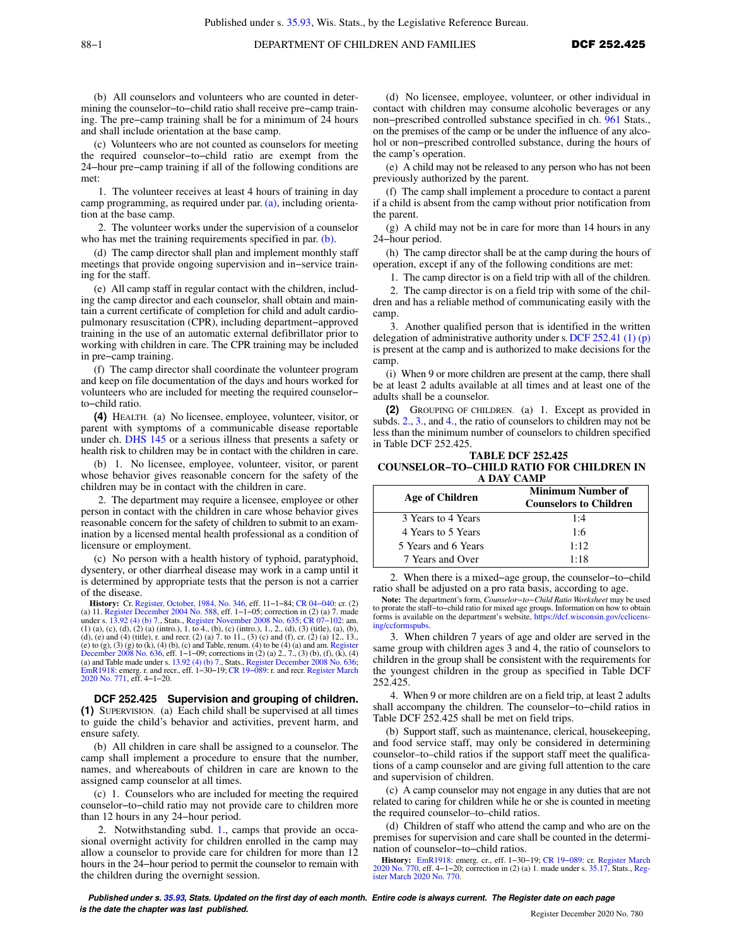(b) All counselors and volunteers who are counted in determining the counselor−to−child ratio shall receive pre−camp training. The pre−camp training shall be for a minimum of 24 hours and shall include orientation at the base camp.

(c) Volunteers who are not counted as counselors for meeting the required counselor−to−child ratio are exempt from the 24−hour pre−camp training if all of the following conditions are met:

1. The volunteer receives at least 4 hours of training in day camp programming, as required under par. [\(a\),](https://docs-preview.legis.wisconsin.gov/document/administrativecode/DCF%20252.42(3)(a)) including orientation at the base camp.

2. The volunteer works under the supervision of a counselor who has met the training requirements specified in par. [\(b\)](https://docs-preview.legis.wisconsin.gov/document/administrativecode/DCF%20252.42(3)(b)).

(d) The camp director shall plan and implement monthly staff meetings that provide ongoing supervision and in−service training for the staff.

(e) All camp staff in regular contact with the children, including the camp director and each counselor, shall obtain and maintain a current certificate of completion for child and adult cardiopulmonary resuscitation (CPR), including department−approved training in the use of an automatic external defibrillator prior to working with children in care. The CPR training may be included in pre−camp training.

(f) The camp director shall coordinate the volunteer program and keep on file documentation of the days and hours worked for volunteers who are included for meeting the required counselor− to−child ratio.

**(4)** HEALTH. (a) No licensee, employee, volunteer, visitor, or parent with symptoms of a communicable disease reportable under ch. [DHS 145](https://docs-preview.legis.wisconsin.gov/document/administrativecode/ch.%20DHS%20145) or a serious illness that presents a safety or health risk to children may be in contact with the children in care.

(b) 1. No licensee, employee, volunteer, visitor, or parent whose behavior gives reasonable concern for the safety of the children may be in contact with the children in care.

2. The department may require a licensee, employee or other person in contact with the children in care whose behavior gives reasonable concern for the safety of children to submit to an examination by a licensed mental health professional as a condition of licensure or employment.

(c) No person with a health history of typhoid, paratyphoid, dysentery, or other diarrheal disease may work in a camp until it is determined by appropriate tests that the person is not a carrier of the disease.

**History:** Cr. [Register, October, 1984, No. 346](https://docs-preview.legis.wisconsin.gov/document/register/346/B/toc), eff. 11–1−84; CR 04–040: cr. (2) (a) 11. [Register December 2004 No. 588,](https://docs-preview.legis.wisconsin.gov/document/register/588/B/toc) eff. 1–1–05; correction in (2) (a) 7. made under s. [13.92 \(4\) \(b\) 7.,](https://docs-preview.legis.wisconsin.gov/document/statutes/13.92(4)(b)7.) Stats., [Register November 2008 No. 635](https://docs-preview.legis.wisconsin.gov/document/register/635/B/toc); [CR 07−102](https://docs-preview.legis.wisconsin.gov/document/cr/2007/102): am. (1) (a), (c), (d), (2) (a) (intro.), 1. to 4., (b), (c) (intro.), 1., 2., (d), (3) (title), (a), (b), (d), (e) and (4) (title), r. and recr. (2) (a) 7. to 11., (3) (c) and (f), cr. (2) (a) 12., 13., (e) to (g), (3) (g) to (k), (4) (b), (c) and Table, renum. (4) to be (4) (a) and am. [Register](https://docs-preview.legis.wisconsin.gov/document/register/636/B/toc) [December 2008 No. 636,](https://docs-preview.legis.wisconsin.gov/document/register/636/B/toc) eff. 1-1-09; corrections in (2) (a) 2., 7., (3) (b), (f), (k), (4) and Table made under s. 13.92 (4) (b)

**DCF 252.425 Supervision and grouping of children. (1)** SUPERVISION. (a) Each child shall be supervised at all times to guide the child's behavior and activities, prevent harm, and ensure safety.

(b) All children in care shall be assigned to a counselor. The camp shall implement a procedure to ensure that the number, names, and whereabouts of children in care are known to the assigned camp counselor at all times.

(c) 1. Counselors who are included for meeting the required counselor−to−child ratio may not provide care to children more than 12 hours in any 24−hour period.

2. Notwithstanding subd. [1.,](https://docs-preview.legis.wisconsin.gov/document/administrativecode/DCF%20252.425(1)(c)1.) camps that provide an occasional overnight activity for children enrolled in the camp may allow a counselor to provide care for children for more than 12 hours in the 24−hour period to permit the counselor to remain with the children during the overnight session.

(d) No licensee, employee, volunteer, or other individual in contact with children may consume alcoholic beverages or any non−prescribed controlled substance specified in ch. [961](https://docs-preview.legis.wisconsin.gov/document/statutes/ch.%20961) Stats., on the premises of the camp or be under the influence of any alcohol or non−prescribed controlled substance, during the hours of the camp's operation.

(e) A child may not be released to any person who has not been previously authorized by the parent.

(f) The camp shall implement a procedure to contact a parent if a child is absent from the camp without prior notification from the parent.

(g) A child may not be in care for more than 14 hours in any 24−hour period.

(h) The camp director shall be at the camp during the hours of operation, except if any of the following conditions are met:

1. The camp director is on a field trip with all of the children.

2. The camp director is on a field trip with some of the children and has a reliable method of communicating easily with the camp.

3. Another qualified person that is identified in the written delegation of administrative authority under s. DCF 252.41  $(1)$  (p) is present at the camp and is authorized to make decisions for the camp.

(i) When 9 or more children are present at the camp, there shall be at least 2 adults available at all times and at least one of the adults shall be a counselor.

**(2)** GROUPING OF CHILDREN. (a) 1. Except as provided in subds. [2.,](https://docs-preview.legis.wisconsin.gov/document/administrativecode/DCF%20252.425(2)(a)2.) [3.](https://docs-preview.legis.wisconsin.gov/document/administrativecode/DCF%20252.425(2)(a)3.), and [4.](https://docs-preview.legis.wisconsin.gov/document/administrativecode/DCF%20252.425(2)(a)4.), the ratio of counselors to children may not be less than the minimum number of counselors to children specified in Table DCF 252.425.

**TABLE DCF 252.425 COUNSELOR−TO−CHILD RATIO FOR CHILDREN IN A DAY CAMP**

| Age of Children     | <b>Minimum Number of</b><br><b>Counselors to Children</b> |
|---------------------|-----------------------------------------------------------|
| 3 Years to 4 Years  | 1:4                                                       |
| 4 Years to 5 Years  | 1:6                                                       |
| 5 Years and 6 Years | 1:12                                                      |
| 7 Years and Over    | 1:18                                                      |

2. When there is a mixed−age group, the counselor−to−child ratio shall be adjusted on a pro rata basis, according to age.

**Note:** The department's form, *Counselor−to−Child Ratio Worksheet* may be used to prorate the staff−to−child ratio for mixed age groups. Information on how to obtain forms is available on the department's website, [https://dcf.wisconsin.gov/cclicens](https://dcf.wisconsin.gov/cclicensing/ccformspubs)[ing/ccformspubs.](https://dcf.wisconsin.gov/cclicensing/ccformspubs)

3. When children 7 years of age and older are served in the same group with children ages 3 and 4, the ratio of counselors to children in the group shall be consistent with the requirements for the youngest children in the group as specified in Table DCF 252.425.

4. When 9 or more children are on a field trip, at least 2 adults shall accompany the children. The counselor−to−child ratios in Table DCF 252.425 shall be met on field trips.

(b) Support staff, such as maintenance, clerical, housekeeping, and food service staff, may only be considered in determining counselor–to–child ratios if the support staff meet the qualifications of a camp counselor and are giving full attention to the care and supervision of children.

(c) A camp counselor may not engage in any duties that are not related to caring for children while he or she is counted in meeting the required counselor–to–child ratios.

(d) Children of staff who attend the camp and who are on the premises for supervision and care shall be counted in the determination of counselor−to−child ratios.

**History:** [EmR1918](https://docs-preview.legis.wisconsin.gov/document/emergencyrules/EmR1918): emerg. cr., eff. 1−30−19; [CR 19−089](https://docs-preview.legis.wisconsin.gov/document/cr/2019/89): cr. [Register March](https://docs-preview.legis.wisconsin.gov/document/register/770/B/toc) [2020 No. 770](https://docs-preview.legis.wisconsin.gov/document/register/770/B/toc), eff. 4−1−20; correction in (2) (a) 1. made under s. [35.17,](https://docs-preview.legis.wisconsin.gov/document/statutes/35.17) Stats., [Reg](https://docs-preview.legis.wisconsin.gov/document/register/770/B/toc)[ister March 2020 No. 770](https://docs-preview.legis.wisconsin.gov/document/register/770/B/toc).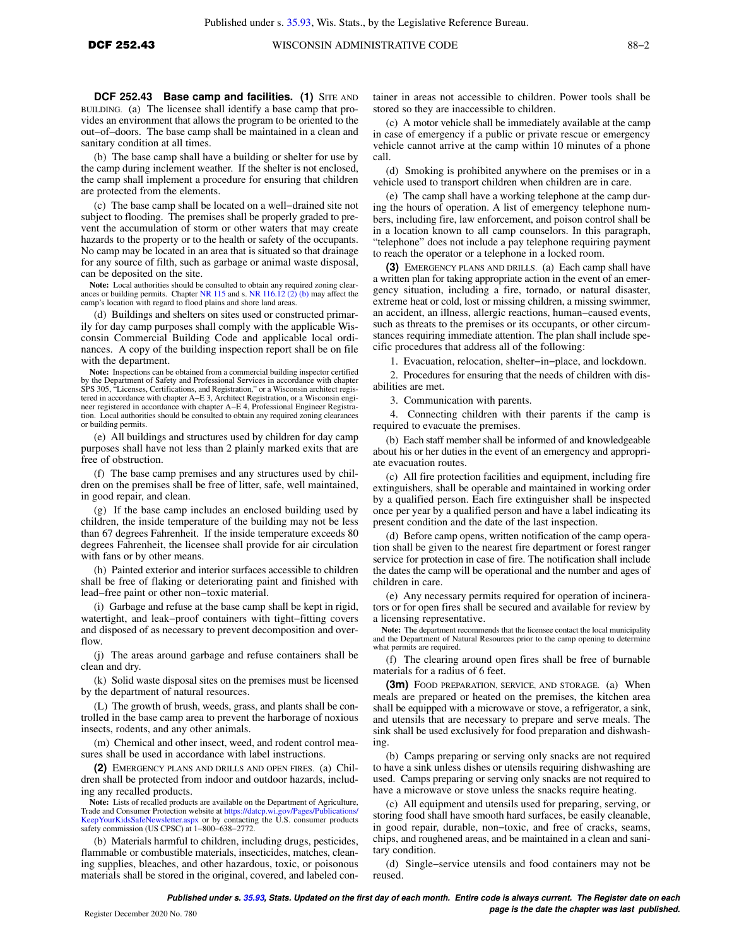BUILDING. (a) The licensee shall identify a base camp that provides an environment that allows the program to be oriented to the out−of−doors. The base camp shall be maintained in a clean and sanitary condition at all times.

(b) The base camp shall have a building or shelter for use by the camp during inclement weather. If the shelter is not enclosed, the camp shall implement a procedure for ensuring that children are protected from the elements.

(c) The base camp shall be located on a well−drained site not subject to flooding. The premises shall be properly graded to prevent the accumulation of storm or other waters that may create hazards to the property or to the health or safety of the occupants. No camp may be located in an area that is situated so that drainage for any source of filth, such as garbage or animal waste disposal, can be deposited on the site.

**Note:** Local authorities should be consulted to obtain any required zoning clear-ances or building permits. Chapter [NR 115](https://docs-preview.legis.wisconsin.gov/document/administrativecode/ch.%20NR%20115) and s. [NR 116.12 \(2\) \(b\)](https://docs-preview.legis.wisconsin.gov/document/administrativecode/NR%20116.12(2)(b)) may affect the camp's location with regard to flood plains and shore land areas.

(d) Buildings and shelters on sites used or constructed primarily for day camp purposes shall comply with the applicable Wisconsin Commercial Building Code and applicable local ordinances. A copy of the building inspection report shall be on file with the department.

**Note:** Inspections can be obtained from a commercial building inspector certified by the Department of Safety and Professional Services in accordance with chapter SPS 305, "Licenses, Certifications, and Registration," or a Wisconsin architect regis-tered in accordance with chapter A−E 3, Architect Registration, or a Wisconsin engineer registered in accordance with chapter A−E 4, Professional Engineer Registration. Local authorities should be consulted to obtain any required zoning clearances or building permits.

(e) All buildings and structures used by children for day camp purposes shall have not less than 2 plainly marked exits that are free of obstruction.

(f) The base camp premises and any structures used by children on the premises shall be free of litter, safe, well maintained, in good repair, and clean.

(g) If the base camp includes an enclosed building used by children, the inside temperature of the building may not be less than 67 degrees Fahrenheit. If the inside temperature exceeds 80 degrees Fahrenheit, the licensee shall provide for air circulation with fans or by other means.

(h) Painted exterior and interior surfaces accessible to children shall be free of flaking or deteriorating paint and finished with lead−free paint or other non−toxic material.

(i) Garbage and refuse at the base camp shall be kept in rigid, watertight, and leak−proof containers with tight−fitting covers and disposed of as necessary to prevent decomposition and overflow.

(j) The areas around garbage and refuse containers shall be clean and dry.

(k) Solid waste disposal sites on the premises must be licensed by the department of natural resources.

(L) The growth of brush, weeds, grass, and plants shall be controlled in the base camp area to prevent the harborage of noxious insects, rodents, and any other animals.

(m) Chemical and other insect, weed, and rodent control measures shall be used in accordance with label instructions.

**(2)** EMERGENCY PLANS AND DRILLS AND OPEN FIRES. (a) Children shall be protected from indoor and outdoor hazards, including any recalled products.

**Note:** Lists of recalled products are available on the Department of Agriculture, Trade and Consumer Protection website at [https://datcp.wi.gov/Pages/Publications/](https://datcp.wi.gov/Pages/Publications/KeepYourKidsSafeNewsletter.aspx) [KeepYourKidsSafeNewsletter.aspx](https://datcp.wi.gov/Pages/Publications/KeepYourKidsSafeNewsletter.aspx) or by contacting the U.S. consumer products safety commission (US CPSC) at 1−800−638−2772.

(b) Materials harmful to children, including drugs, pesticides, flammable or combustible materials, insecticides, matches, cleaning supplies, bleaches, and other hazardous, toxic, or poisonous materials shall be stored in the original, covered, and labeled container in areas not accessible to children. Power tools shall be stored so they are inaccessible to children.

(c) A motor vehicle shall be immediately available at the camp in case of emergency if a public or private rescue or emergency vehicle cannot arrive at the camp within 10 minutes of a phone call.

(d) Smoking is prohibited anywhere on the premises or in a vehicle used to transport children when children are in care.

(e) The camp shall have a working telephone at the camp during the hours of operation. A list of emergency telephone numbers, including fire, law enforcement, and poison control shall be in a location known to all camp counselors. In this paragraph, "telephone" does not include a pay telephone requiring payment to reach the operator or a telephone in a locked room.

**(3)** EMERGENCY PLANS AND DRILLS. (a) Each camp shall have a written plan for taking appropriate action in the event of an emergency situation, including a fire, tornado, or natural disaster, extreme heat or cold, lost or missing children, a missing swimmer, an accident, an illness, allergic reactions, human−caused events, such as threats to the premises or its occupants, or other circumstances requiring immediate attention. The plan shall include specific procedures that address all of the following:

1. Evacuation, relocation, shelter−in−place, and lockdown.

2. Procedures for ensuring that the needs of children with disabilities are met.

3. Communication with parents.

4. Connecting children with their parents if the camp is required to evacuate the premises.

(b) Each staff member shall be informed of and knowledgeable about his or her duties in the event of an emergency and appropriate evacuation routes.

(c) All fire protection facilities and equipment, including fire extinguishers, shall be operable and maintained in working order by a qualified person. Each fire extinguisher shall be inspected once per year by a qualified person and have a label indicating its present condition and the date of the last inspection.

(d) Before camp opens, written notification of the camp operation shall be given to the nearest fire department or forest ranger service for protection in case of fire. The notification shall include the dates the camp will be operational and the number and ages of children in care.

(e) Any necessary permits required for operation of incinerators or for open fires shall be secured and available for review by a licensing representative.

**Note:** The department recommends that the licensee contact the local municipality and the Department of Natural Resources prior to the camp opening to determine what permits are required.

(f) The clearing around open fires shall be free of burnable materials for a radius of 6 feet.

**(3m)** FOOD PREPARATION, SERVICE, AND STORAGE. (a) When meals are prepared or heated on the premises, the kitchen area shall be equipped with a microwave or stove, a refrigerator, a sink, and utensils that are necessary to prepare and serve meals. The sink shall be used exclusively for food preparation and dishwashing.

(b) Camps preparing or serving only snacks are not required to have a sink unless dishes or utensils requiring dishwashing are used. Camps preparing or serving only snacks are not required to have a microwave or stove unless the snacks require heating.

(c) All equipment and utensils used for preparing, serving, or storing food shall have smooth hard surfaces, be easily cleanable, in good repair, durable, non−toxic, and free of cracks, seams, chips, and roughened areas, and be maintained in a clean and sanitary condition.

(d) Single−service utensils and food containers may not be reused.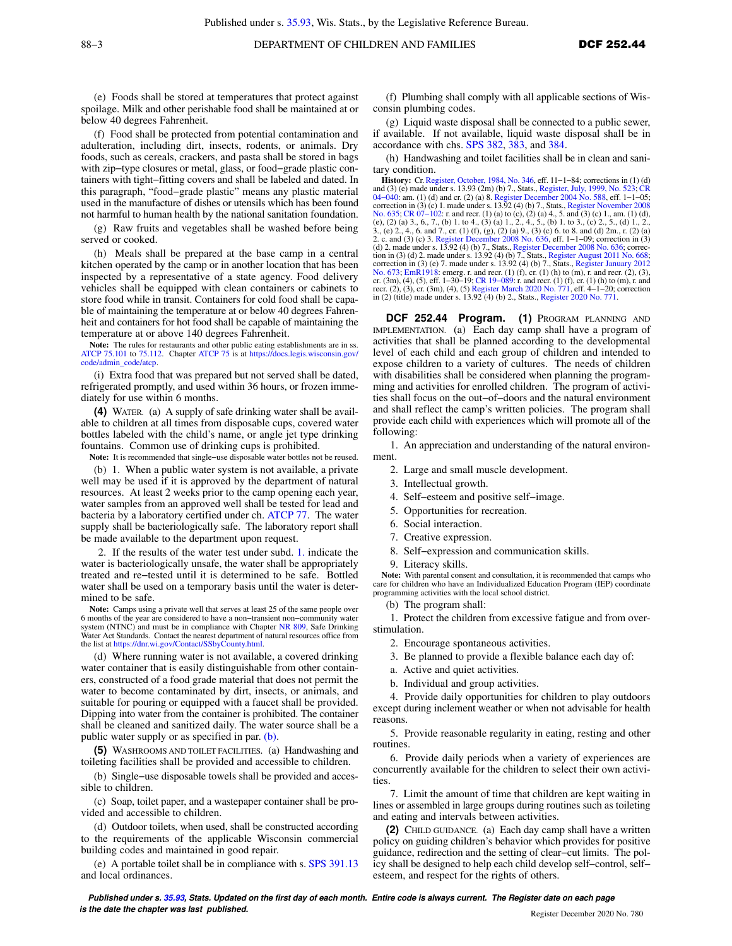(e) Foods shall be stored at temperatures that protect against spoilage. Milk and other perishable food shall be maintained at or below 40 degrees Fahrenheit.

(f) Food shall be protected from potential contamination and adulteration, including dirt, insects, rodents, or animals. Dry foods, such as cereals, crackers, and pasta shall be stored in bags with zip−type closures or metal, glass, or food−grade plastic containers with tight−fitting covers and shall be labeled and dated. In this paragraph, "food−grade plastic" means any plastic material used in the manufacture of dishes or utensils which has been found not harmful to human health by the national sanitation foundation.

(g) Raw fruits and vegetables shall be washed before being served or cooked.

(h) Meals shall be prepared at the base camp in a central kitchen operated by the camp or in another location that has been inspected by a representative of a state agency. Food delivery vehicles shall be equipped with clean containers or cabinets to store food while in transit. Containers for cold food shall be capable of maintaining the temperature at or below 40 degrees Fahrenheit and containers for hot food shall be capable of maintaining the temperature at or above 140 degrees Fahrenheit.

**Note:** The rules for restaurants and other public eating establishments are in ss. [ATCP 75.101](https://docs-preview.legis.wisconsin.gov/document/administrativecode/ATCP%2075.101) to [75.112](https://docs-preview.legis.wisconsin.gov/document/administrativecode/ATCP%2075.112). Chapter [ATCP 75](https://docs-preview.legis.wisconsin.gov/document/administrativecode/ch.%20ATCP%2075) is at [https://docs.legis.wisconsin.gov/](https://docs.legis.wisconsin.gov/code/admin_code/atcp) [code/admin\\_code/atcp.](https://docs.legis.wisconsin.gov/code/admin_code/atcp)

(i) Extra food that was prepared but not served shall be dated, refrigerated promptly, and used within 36 hours, or frozen immediately for use within 6 months.

**(4)** WATER*.* (a) A supply of safe drinking water shall be available to children at all times from disposable cups, covered water bottles labeled with the child's name, or angle jet type drinking fountains. Common use of drinking cups is prohibited.

**Note:** It is recommended that single−use disposable water bottles not be reused.

(b) 1. When a public water system is not available, a private well may be used if it is approved by the department of natural resources. At least 2 weeks prior to the camp opening each year, water samples from an approved well shall be tested for lead and bacteria by a laboratory certified under ch. [ATCP 77.](https://docs-preview.legis.wisconsin.gov/document/administrativecode/ch.%20ATCP%2077) The water supply shall be bacteriologically safe. The laboratory report shall be made available to the department upon request.

2. If the results of the water test under subd. [1.](https://docs-preview.legis.wisconsin.gov/document/administrativecode/DCF%20252.43(4)(b)1.) indicate the water is bacteriologically unsafe, the water shall be appropriately treated and re−tested until it is determined to be safe. Bottled water shall be used on a temporary basis until the water is determined to be safe.

**Note:** Camps using a private well that serves at least 25 of the same people over 6 months of the year are considered to have a non−transient non−community water system (NTNC) and must be in compliance with Chapter [NR 809,](https://docs-preview.legis.wisconsin.gov/document/administrativecode/ch.%20NR%20809) Safe Drinking Water Act Standards. Contact the nearest department of natural resources office from the list at [https://dnr.wi.gov/Contact/SSbyCounty.html.](https://dnr.wi.gov/Contact/SSbyCounty.html)

(d) Where running water is not available, a covered drinking water container that is easily distinguishable from other containers, constructed of a food grade material that does not permit the water to become contaminated by dirt, insects, or animals, and suitable for pouring or equipped with a faucet shall be provided. Dipping into water from the container is prohibited. The container shall be cleaned and sanitized daily. The water source shall be a public water supply or as specified in par. [\(b\)](https://docs-preview.legis.wisconsin.gov/document/administrativecode/DCF%20252.43(4)(b)).

**(5)** WASHROOMS AND TOILET FACILITIES*.* (a) Handwashing and toileting facilities shall be provided and accessible to children.

(b) Single−use disposable towels shall be provided and accessible to children.

(c) Soap, toilet paper, and a wastepaper container shall be provided and accessible to children.

(d) Outdoor toilets, when used, shall be constructed according to the requirements of the applicable Wisconsin commercial building codes and maintained in good repair.

(e) A portable toilet shall be in compliance with s. [SPS 391.13](https://docs-preview.legis.wisconsin.gov/document/administrativecode/SPS%20391.13) and local ordinances.

(f) Plumbing shall comply with all applicable sections of Wisconsin plumbing codes.

(g) Liquid waste disposal shall be connected to a public sewer, if available. If not available, liquid waste disposal shall be in accordance with chs. [SPS 382,](https://docs-preview.legis.wisconsin.gov/document/administrativecode/ch.%20SPS%20382) [383](https://docs-preview.legis.wisconsin.gov/document/administrativecode/ch.%20SPS%20383), and [384.](https://docs-preview.legis.wisconsin.gov/document/administrativecode/ch.%20SPS%20384)

(h) Handwashing and toilet facilities shall be in clean and sanitary condition.

**History:** Cr. [Register, October, 1984, No. 346,](https://docs-preview.legis.wisconsin.gov/document/register/346/B/toc) eff. 11-1-84; corrections in (1) (d)  $(9 \mod 16)$  (e) made under s. 13.93 (2m) (b) 7, Stats, Register November 2008, [CR](https://docs-preview.legis.wisconsin.gov/document/cr/2004/40) (1-1-05; correction in (3) (c) 1. made under s. 13.92 correction in (3) (e) 7. made under s.  $13.92$  (4) (b) 7., Stats., Register January [No. 673;](https://docs-preview.legis.wisconsin.gov/document/register/673/B/toc) [EmR1918:](https://docs-preview.legis.wisconsin.gov/document/emergencyrules/EmR1918) emerg. r. and recr. (1) (f), cr. (1) (h) to (m), r. and recr. (2), (3), cr. (3m), (4), (5), eff. 1–30−19; CR 19–089: r. and recr. (1) (f), cr. (1) (h) to (m), r. and recr. (2), (3), cr. (3m), (4), (5) [Register March 2020 No. 771](https://docs-preview.legis.wisconsin.gov/document/register/771/B/toc), eff. 4−1−20; correction in (2) (title) made under s. 13.92 (4) (b) 2., Stats., [Register 2020 No. 771.](https://docs-preview.legis.wisconsin.gov/document/register/771/B/toc)

**DCF 252.44 Program. (1)** PROGRAM PLANNING AND IMPLEMENTATION. (a) Each day camp shall have a program of activities that shall be planned according to the developmental level of each child and each group of children and intended to expose children to a variety of cultures. The needs of children with disabilities shall be considered when planning the programming and activities for enrolled children. The program of activities shall focus on the out−of−doors and the natural environment and shall reflect the camp's written policies. The program shall provide each child with experiences which will promote all of the following:

1. An appreciation and understanding of the natural environment.

- 2. Large and small muscle development.
- 3. Intellectual growth.
- 4. Self−esteem and positive self−image.
- 5. Opportunities for recreation.
- 6. Social interaction.
- 7. Creative expression.
- 8. Self−expression and communication skills.
- 9. Literacy skills.

Note: With parental consent and consultation, it is recommended that camps who care for children who have an Individualized Education Program (IEP) coordinate programming activities with the local school district.

(b) The program shall:

1. Protect the children from excessive fatigue and from overstimulation.

2. Encourage spontaneous activities.

- 3. Be planned to provide a flexible balance each day of:
- a. Active and quiet activities.
- b. Individual and group activities.

4. Provide daily opportunities for children to play outdoors except during inclement weather or when not advisable for health reasons.

5. Provide reasonable regularity in eating, resting and other routines.

6. Provide daily periods when a variety of experiences are concurrently available for the children to select their own activities.

7. Limit the amount of time that children are kept waiting in lines or assembled in large groups during routines such as toileting and eating and intervals between activities.

**(2)** CHILD GUIDANCE. (a) Each day camp shall have a written policy on guiding children's behavior which provides for positive guidance, redirection and the setting of clear−cut limits. The policy shall be designed to help each child develop self−control, self− esteem, and respect for the rights of others.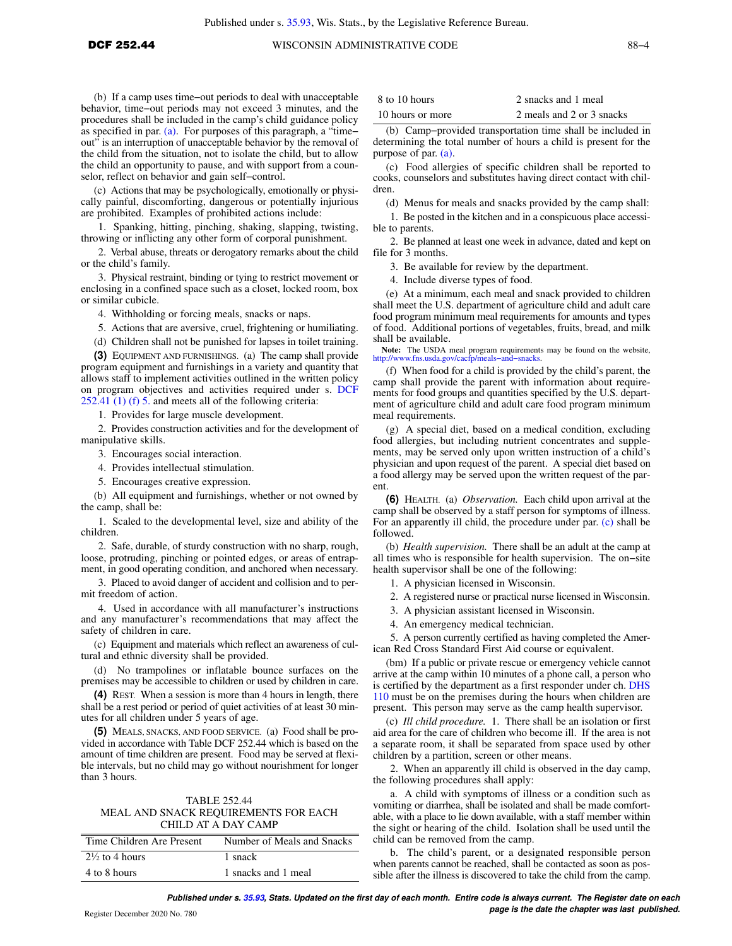(b) If a camp uses time−out periods to deal with unacceptable behavior, time−out periods may not exceed 3 minutes, and the procedures shall be included in the camp's child guidance policy as specified in par. [\(a\)](https://docs-preview.legis.wisconsin.gov/document/administrativecode/DCF%20252.44(2)(a)). For purposes of this paragraph, a "time− out" is an interruption of unacceptable behavior by the removal of the child from the situation, not to isolate the child, but to allow the child an opportunity to pause, and with support from a counselor, reflect on behavior and gain self−control.

(c) Actions that may be psychologically, emotionally or physically painful, discomforting, dangerous or potentially injurious are prohibited. Examples of prohibited actions include:

1. Spanking, hitting, pinching, shaking, slapping, twisting, throwing or inflicting any other form of corporal punishment.

2. Verbal abuse, threats or derogatory remarks about the child or the child's family.

3. Physical restraint, binding or tying to restrict movement or enclosing in a confined space such as a closet, locked room, box or similar cubicle.

4. Withholding or forcing meals, snacks or naps.

5. Actions that are aversive, cruel, frightening or humiliating.

(d) Children shall not be punished for lapses in toilet training.

**(3)** EQUIPMENT AND FURNISHINGS. (a) The camp shall provide program equipment and furnishings in a variety and quantity that allows staff to implement activities outlined in the written policy on program objectives and activities required under s. [DCF](https://docs-preview.legis.wisconsin.gov/document/administrativecode/DCF%20252.41(1)(f)5.) [252.41 \(1\) \(f\) 5.](https://docs-preview.legis.wisconsin.gov/document/administrativecode/DCF%20252.41(1)(f)5.) and meets all of the following criteria:

1. Provides for large muscle development.

2. Provides construction activities and for the development of manipulative skills.

3. Encourages social interaction.

4. Provides intellectual stimulation.

5. Encourages creative expression.

(b) All equipment and furnishings, whether or not owned by the camp, shall be:

1. Scaled to the developmental level, size and ability of the children.

2. Safe, durable, of sturdy construction with no sharp, rough, loose, protruding, pinching or pointed edges, or areas of entrapment, in good operating condition, and anchored when necessary.

3. Placed to avoid danger of accident and collision and to permit freedom of action.

4. Used in accordance with all manufacturer's instructions and any manufacturer's recommendations that may affect the safety of children in care.

(c) Equipment and materials which reflect an awareness of cultural and ethnic diversity shall be provided.

(d) No trampolines or inflatable bounce surfaces on the premises may be accessible to children or used by children in care.

**(4)** REST. When a session is more than 4 hours in length, there shall be a rest period or period of quiet activities of at least 30 minutes for all children under 5 years of age.

**(5)** MEALS, SNACKS, AND FOOD SERVICE. (a) Food shall be provided in accordance with Table DCF 252.44 which is based on the amount of time children are present. Food may be served at flexible intervals, but no child may go without nourishment for longer than 3 hours.

## TABLE 252.44 MEAL AND SNACK REQUIREMENTS FOR EACH CHILD AT A DAY CAMP

| Time Children Are Present | Number of Meals and Snacks |
|---------------------------|----------------------------|
| $2\frac{1}{2}$ to 4 hours | 1 snack                    |
| 4 to 8 hours              | 1 snacks and 1 meal        |

| 8 to 10 hours    | 2 snacks and 1 meal       |
|------------------|---------------------------|
| 10 hours or more | 2 meals and 2 or 3 snacks |

(b) Camp−provided transportation time shall be included in determining the total number of hours a child is present for the purpose of par. [\(a\)](https://docs-preview.legis.wisconsin.gov/document/administrativecode/DCF%20252.44(5)(a)).

(c) Food allergies of specific children shall be reported to cooks, counselors and substitutes having direct contact with children.

(d) Menus for meals and snacks provided by the camp shall:

1. Be posted in the kitchen and in a conspicuous place accessible to parents.

2. Be planned at least one week in advance, dated and kept on file for 3 months.

3. Be available for review by the department.

4. Include diverse types of food.

(e) At a minimum, each meal and snack provided to children shall meet the U.S. department of agriculture child and adult care food program minimum meal requirements for amounts and types of food. Additional portions of vegetables, fruits, bread, and milk shall be available.

Note: The USDA meal program requirements may be found on the website, [http://www.fns.usda.gov/cacfp/meals−and−snacks.](http://www.fns.usda.gov/cacfp/meals-and-snacks)

(f) When food for a child is provided by the child's parent, the camp shall provide the parent with information about requirements for food groups and quantities specified by the U.S. department of agriculture child and adult care food program minimum meal requirements.

(g) A special diet, based on a medical condition, excluding food allergies, but including nutrient concentrates and supplements, may be served only upon written instruction of a child's physician and upon request of the parent. A special diet based on a food allergy may be served upon the written request of the parent.

**(6)** HEALTH. (a) *Observation.* Each child upon arrival at the camp shall be observed by a staff person for symptoms of illness. For an apparently ill child, the procedure under par. [\(c\)](https://docs-preview.legis.wisconsin.gov/document/administrativecode/DCF%20252.44(6)(c)) shall be followed.

(b) *Health supervision.* There shall be an adult at the camp at all times who is responsible for health supervision. The on−site health supervisor shall be one of the following:

1. A physician licensed in Wisconsin.

2. A registered nurse or practical nurse licensed in Wisconsin.

3. A physician assistant licensed in Wisconsin.

4. An emergency medical technician.

5. A person currently certified as having completed the American Red Cross Standard First Aid course or equivalent.

(bm) If a public or private rescue or emergency vehicle cannot arrive at the camp within 10 minutes of a phone call, a person who is certified by the department as a first responder under ch. [DHS](https://docs-preview.legis.wisconsin.gov/document/administrativecode/ch.%20DHS%20110) [110](https://docs-preview.legis.wisconsin.gov/document/administrativecode/ch.%20DHS%20110) must be on the premises during the hours when children are present. This person may serve as the camp health supervisor.

(c) *Ill child procedure.* 1. There shall be an isolation or first aid area for the care of children who become ill. If the area is not a separate room, it shall be separated from space used by other children by a partition, screen or other means.

2. When an apparently ill child is observed in the day camp, the following procedures shall apply:

a. A child with symptoms of illness or a condition such as vomiting or diarrhea, shall be isolated and shall be made comfortable, with a place to lie down available, with a staff member within the sight or hearing of the child. Isolation shall be used until the child can be removed from the camp.

b. The child's parent, or a designated responsible person when parents cannot be reached, shall be contacted as soon as possible after the illness is discovered to take the child from the camp.

**Published under s. [35.93,](https://docs-preview.legis.wisconsin.gov/document/statutes/35.93) Stats. Updated on the first day of each month. Entire code is always current. The Register date on each Page is the date the chapter was last published. page is the date the chapter was last published.**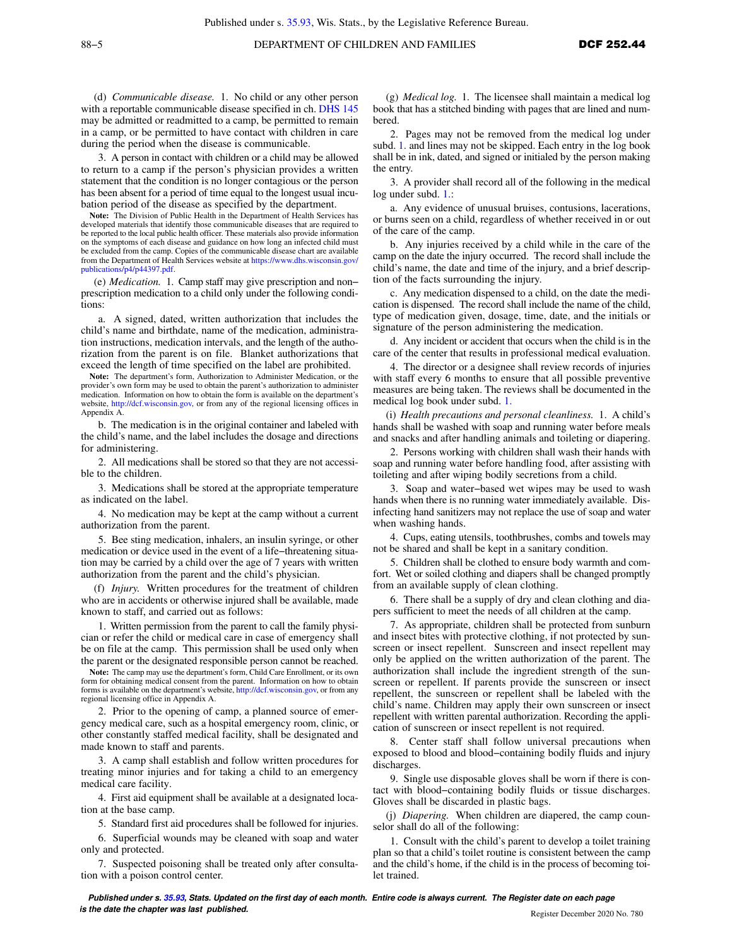(d) *Communicable disease.* 1. No child or any other person with a reportable communicable disease specified in ch. [DHS 145](https://docs-preview.legis.wisconsin.gov/document/administrativecode/ch.%20DHS%20145) may be admitted or readmitted to a camp, be permitted to remain in a camp, or be permitted to have contact with children in care during the period when the disease is communicable.

3. A person in contact with children or a child may be allowed to return to a camp if the person's physician provides a written statement that the condition is no longer contagious or the person has been absent for a period of time equal to the longest usual incubation period of the disease as specified by the department.

**Note:** The Division of Public Health in the Department of Health Services has developed materials that identify those communicable diseases that are required to be reported to the local public health officer. These materials also provide information on the symptoms of each disease and guidance on how long an infected child must be excluded from the camp. Copies of the communicable disease chart are available from the Department of Health Services website at [https://www.dhs.wisconsin.gov/](https://www.dhs.wisconsin.gov/publications/p4/p44397.pdf) [publications/p4/p44397.pdf](https://www.dhs.wisconsin.gov/publications/p4/p44397.pdf).

(e) *Medication.* 1. Camp staff may give prescription and non− prescription medication to a child only under the following conditions:

a. A signed, dated, written authorization that includes the child's name and birthdate, name of the medication, administration instructions, medication intervals, and the length of the authorization from the parent is on file. Blanket authorizations that exceed the length of time specified on the label are prohibited.

**Note:** The department's form, Authorization to Administer Medication, or the provider's own form may be used to obtain the parent's authorization to administer medication. Information on how to obtain the form is available on the department's website, [http://dcf.wisconsin.gov,](http://dcf.wisconsin.gov) or from any of the regional licensing offices in Appendix A.

b. The medication is in the original container and labeled with the child's name, and the label includes the dosage and directions for administering.

2. All medications shall be stored so that they are not accessible to the children.

3. Medications shall be stored at the appropriate temperature as indicated on the label.

4. No medication may be kept at the camp without a current authorization from the parent.

5. Bee sting medication, inhalers, an insulin syringe, or other medication or device used in the event of a life−threatening situation may be carried by a child over the age of 7 years with written authorization from the parent and the child's physician.

(f) *Injury.* Written procedures for the treatment of children who are in accidents or otherwise injured shall be available, made known to staff, and carried out as follows:

1. Written permission from the parent to call the family physician or refer the child or medical care in case of emergency shall be on file at the camp. This permission shall be used only when the parent or the designated responsible person cannot be reached.

**Note:** The camp may use the department's form, Child Care Enrollment, or its own form for obtaining medical consent from the parent. Information on how to obtain forms is available on the department's website, [http://dcf.wisconsin.gov,](http://dcf.wisconsin.gov) or from any regional licensing office in Appendix A.

Prior to the opening of camp, a planned source of emergency medical care, such as a hospital emergency room, clinic, or other constantly staffed medical facility, shall be designated and made known to staff and parents.

3. A camp shall establish and follow written procedures for treating minor injuries and for taking a child to an emergency medical care facility.

4. First aid equipment shall be available at a designated location at the base camp.

5. Standard first aid procedures shall be followed for injuries.

6. Superficial wounds may be cleaned with soap and water only and protected.

7. Suspected poisoning shall be treated only after consultation with a poison control center.

(g) *Medical log.* 1. The licensee shall maintain a medical log book that has a stitched binding with pages that are lined and numbered.

2. Pages may not be removed from the medical log under subd. [1.](https://docs-preview.legis.wisconsin.gov/document/administrativecode/DCF%20252.44(6)(g)1.) and lines may not be skipped. Each entry in the log book shall be in ink, dated, and signed or initialed by the person making the entry.

3. A provider shall record all of the following in the medical log under subd. [1.](https://docs-preview.legis.wisconsin.gov/document/administrativecode/DCF%20252.44(6)(g)1.):

a. Any evidence of unusual bruises, contusions, lacerations, or burns seen on a child, regardless of whether received in or out of the care of the camp.

b. Any injuries received by a child while in the care of the camp on the date the injury occurred. The record shall include the child's name, the date and time of the injury, and a brief description of the facts surrounding the injury.

c. Any medication dispensed to a child, on the date the medication is dispensed. The record shall include the name of the child, type of medication given, dosage, time, date, and the initials or signature of the person administering the medication.

d. Any incident or accident that occurs when the child is in the care of the center that results in professional medical evaluation.

4. The director or a designee shall review records of injuries with staff every 6 months to ensure that all possible preventive measures are being taken. The reviews shall be documented in the medical log book under subd. [1.](https://docs-preview.legis.wisconsin.gov/document/administrativecode/DCF%20252.44(6)(g)1.)

(i) *Health precautions and personal cleanliness.* 1. A child's hands shall be washed with soap and running water before meals and snacks and after handling animals and toileting or diapering.

2. Persons working with children shall wash their hands with soap and running water before handling food, after assisting with toileting and after wiping bodily secretions from a child.

3. Soap and water−based wet wipes may be used to wash hands when there is no running water immediately available. Disinfecting hand sanitizers may not replace the use of soap and water when washing hands.

4. Cups, eating utensils, toothbrushes, combs and towels may not be shared and shall be kept in a sanitary condition.

5. Children shall be clothed to ensure body warmth and comfort. Wet or soiled clothing and diapers shall be changed promptly from an available supply of clean clothing.

6. There shall be a supply of dry and clean clothing and diapers sufficient to meet the needs of all children at the camp.

7. As appropriate, children shall be protected from sunburn and insect bites with protective clothing, if not protected by sunscreen or insect repellent. Sunscreen and insect repellent may only be applied on the written authorization of the parent. The authorization shall include the ingredient strength of the sunscreen or repellent. If parents provide the sunscreen or insect repellent, the sunscreen or repellent shall be labeled with the child's name. Children may apply their own sunscreen or insect repellent with written parental authorization. Recording the application of sunscreen or insect repellent is not required.

8. Center staff shall follow universal precautions when exposed to blood and blood−containing bodily fluids and injury discharges.

9. Single use disposable gloves shall be worn if there is contact with blood−containing bodily fluids or tissue discharges. Gloves shall be discarded in plastic bags.

(j) *Diapering.* When children are diapered, the camp counselor shall do all of the following:

1. Consult with the child's parent to develop a toilet training plan so that a child's toilet routine is consistent between the camp and the child's home, if the child is in the process of becoming toilet trained.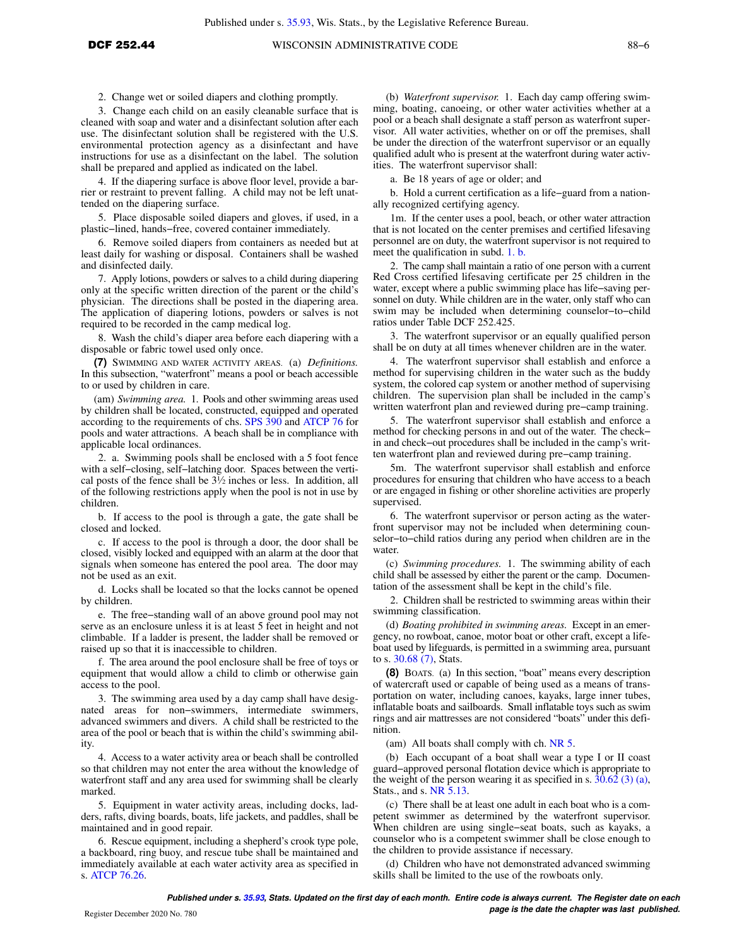2. Change wet or soiled diapers and clothing promptly.

3. Change each child on an easily cleanable surface that is cleaned with soap and water and a disinfectant solution after each use. The disinfectant solution shall be registered with the U.S. environmental protection agency as a disinfectant and have instructions for use as a disinfectant on the label. The solution shall be prepared and applied as indicated on the label.

4. If the diapering surface is above floor level, provide a barrier or restraint to prevent falling. A child may not be left unattended on the diapering surface.

5. Place disposable soiled diapers and gloves, if used, in a plastic−lined, hands−free, covered container immediately.

6. Remove soiled diapers from containers as needed but at least daily for washing or disposal. Containers shall be washed and disinfected daily.

7. Apply lotions, powders or salves to a child during diapering only at the specific written direction of the parent or the child's physician. The directions shall be posted in the diapering area. The application of diapering lotions, powders or salves is not required to be recorded in the camp medical log.

8. Wash the child's diaper area before each diapering with a disposable or fabric towel used only once.

**(7)** SWIMMING AND WATER ACTIVITY AREAS. (a) *Definitions.* In this subsection, "waterfront" means a pool or beach accessible to or used by children in care.

(am) *Swimming area.* 1. Pools and other swimming areas used by children shall be located, constructed, equipped and operated according to the requirements of chs. [SPS 390](https://docs-preview.legis.wisconsin.gov/document/administrativecode/ch.%20SPS%20390) and [ATCP 76](https://docs-preview.legis.wisconsin.gov/document/administrativecode/ch.%20ATCP%2076) for pools and water attractions. A beach shall be in compliance with applicable local ordinances.

2. a. Swimming pools shall be enclosed with a 5 foot fence with a self−closing, self−latching door. Spaces between the vertical posts of the fence shall be  $3\frac{1}{2}$  inches or less. In addition, all of the following restrictions apply when the pool is not in use by children.

b. If access to the pool is through a gate, the gate shall be closed and locked.

c. If access to the pool is through a door, the door shall be closed, visibly locked and equipped with an alarm at the door that signals when someone has entered the pool area. The door may not be used as an exit.

d. Locks shall be located so that the locks cannot be opened by children.

e. The free−standing wall of an above ground pool may not serve as an enclosure unless it is at least 5 feet in height and not climbable. If a ladder is present, the ladder shall be removed or raised up so that it is inaccessible to children.

f. The area around the pool enclosure shall be free of toys or equipment that would allow a child to climb or otherwise gain access to the pool.

3. The swimming area used by a day camp shall have designated areas for non−swimmers, intermediate swimmers, advanced swimmers and divers. A child shall be restricted to the area of the pool or beach that is within the child's swimming ability.

4. Access to a water activity area or beach shall be controlled so that children may not enter the area without the knowledge of waterfront staff and any area used for swimming shall be clearly marked.

5. Equipment in water activity areas, including docks, ladders, rafts, diving boards, boats, life jackets, and paddles, shall be maintained and in good repair.

6. Rescue equipment, including a shepherd's crook type pole, a backboard, ring buoy, and rescue tube shall be maintained and immediately available at each water activity area as specified in s. [ATCP 76.26](https://docs-preview.legis.wisconsin.gov/document/administrativecode/ATCP%2076.26).

(b) *Waterfront supervisor.* 1. Each day camp offering swimming, boating, canoeing, or other water activities whether at a pool or a beach shall designate a staff person as waterfront supervisor. All water activities, whether on or off the premises, shall be under the direction of the waterfront supervisor or an equally qualified adult who is present at the waterfront during water activities. The waterfront supervisor shall:

a. Be 18 years of age or older; and

b. Hold a current certification as a life−guard from a nationally recognized certifying agency.

1m. If the center uses a pool, beach, or other water attraction that is not located on the center premises and certified lifesaving personnel are on duty, the waterfront supervisor is not required to meet the qualification in subd. [1. b.](https://docs-preview.legis.wisconsin.gov/document/administrativecode/DCF%20252.44(7)(b)1.b.)

2. The camp shall maintain a ratio of one person with a current Red Cross certified lifesaving certificate per 25 children in the water, except where a public swimming place has life−saving personnel on duty. While children are in the water, only staff who can swim may be included when determining counselor−to−child ratios under Table DCF 252.425.

3. The waterfront supervisor or an equally qualified person shall be on duty at all times whenever children are in the water.

4. The waterfront supervisor shall establish and enforce a method for supervising children in the water such as the buddy system, the colored cap system or another method of supervising children. The supervision plan shall be included in the camp's written waterfront plan and reviewed during pre−camp training.

5. The waterfront supervisor shall establish and enforce a method for checking persons in and out of the water. The check− in and check−out procedures shall be included in the camp's written waterfront plan and reviewed during pre−camp training.

5m. The waterfront supervisor shall establish and enforce procedures for ensuring that children who have access to a beach or are engaged in fishing or other shoreline activities are properly supervised.

6. The waterfront supervisor or person acting as the waterfront supervisor may not be included when determining counselor−to−child ratios during any period when children are in the water.

(c) *Swimming procedures.* 1. The swimming ability of each child shall be assessed by either the parent or the camp. Documentation of the assessment shall be kept in the child's file.

2. Children shall be restricted to swimming areas within their swimming classification.

(d) *Boating prohibited in swimming areas.* Except in an emergency, no rowboat, canoe, motor boat or other craft, except a lifeboat used by lifeguards, is permitted in a swimming area, pursuant to s. [30.68 \(7\),](https://docs-preview.legis.wisconsin.gov/document/statutes/30.68(7)) Stats.

**(8)** BOATS. (a) In this section, "boat" means every description of watercraft used or capable of being used as a means of transportation on water, including canoes, kayaks, large inner tubes, inflatable boats and sailboards. Small inflatable toys such as swim rings and air mattresses are not considered "boats" under this definition.

(am) All boats shall comply with ch. [NR 5](https://docs-preview.legis.wisconsin.gov/document/administrativecode/ch.%20NR%205).

(b) Each occupant of a boat shall wear a type I or II coast guard−approved personal flotation device which is appropriate to the weight of the person wearing it as specified in s.  $30.62$  (3) (a), Stats., and s. [NR 5.13.](https://docs-preview.legis.wisconsin.gov/document/administrativecode/NR%205.13)

(c) There shall be at least one adult in each boat who is a competent swimmer as determined by the waterfront supervisor. When children are using single−seat boats, such as kayaks, a counselor who is a competent swimmer shall be close enough to the children to provide assistance if necessary.

(d) Children who have not demonstrated advanced swimming skills shall be limited to the use of the rowboats only.